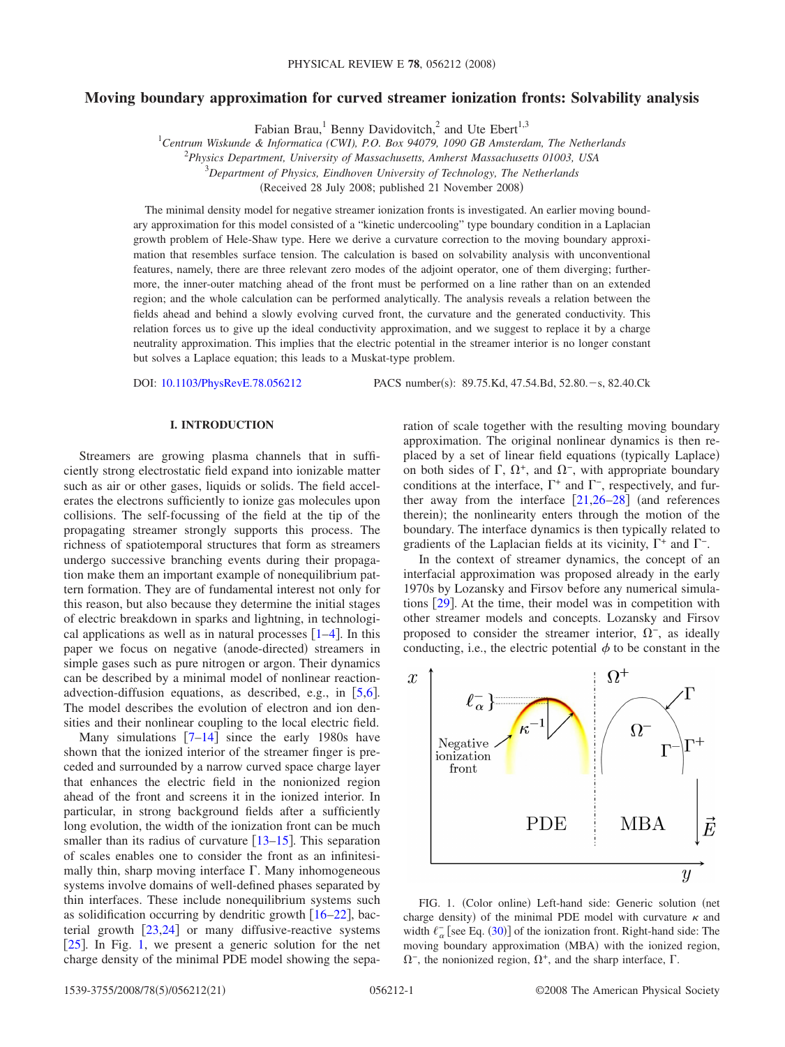# **Moving boundary approximation for curved streamer ionization fronts: Solvability analysis**

Fabian Brau,<sup>1</sup> Benny Davidovitch,<sup>2</sup> and Ute Ebert<sup>1,3</sup>

1 *Centrum Wiskunde & Informatica (CWI), P.O. Box 94079, 1090 GB Amsterdam, The Netherlands*

2 *Physics Department, University of Massachusetts, Amherst Massachusetts 01003, USA*

3 *Department of Physics, Eindhoven University of Technology, The Netherlands*

(Received 28 July 2008; published 21 November 2008)

The minimal density model for negative streamer ionization fronts is investigated. An earlier moving boundary approximation for this model consisted of a "kinetic undercooling" type boundary condition in a Laplacian growth problem of Hele-Shaw type. Here we derive a curvature correction to the moving boundary approximation that resembles surface tension. The calculation is based on solvability analysis with unconventional features, namely, there are three relevant zero modes of the adjoint operator, one of them diverging; furthermore, the inner-outer matching ahead of the front must be performed on a line rather than on an extended region; and the whole calculation can be performed analytically. The analysis reveals a relation between the fields ahead and behind a slowly evolving curved front, the curvature and the generated conductivity. This relation forces us to give up the ideal conductivity approximation, and we suggest to replace it by a charge neutrality approximation. This implies that the electric potential in the streamer interior is no longer constant but solves a Laplace equation; this leads to a Muskat-type problem.

DOI: [10.1103/PhysRevE.78.056212](http://dx.doi.org/10.1103/PhysRevE.78.056212)

PACS number(s): 89.75.Kd, 47.54.Bd, 52.80. - s, 82.40.Ck

# **I. INTRODUCTION**

Streamers are growing plasma channels that in sufficiently strong electrostatic field expand into ionizable matter such as air or other gases, liquids or solids. The field accelerates the electrons sufficiently to ionize gas molecules upon collisions. The self-focussing of the field at the tip of the propagating streamer strongly supports this process. The richness of spatiotemporal structures that form as streamers undergo successive branching events during their propagation make them an important example of nonequilibrium pattern formation. They are of fundamental interest not only for this reason, but also because they determine the initial stages of electric breakdown in sparks and lightning, in technological applications as well as in natural processes  $[1-4]$  $[1-4]$  $[1-4]$ . In this paper we focus on negative (anode-directed) streamers in simple gases such as pure nitrogen or argon. Their dynamics can be described by a minimal model of nonlinear reactionadvection-diffusion equations, as described, e.g., in  $[5,6]$  $[5,6]$  $[5,6]$  $[5,6]$ . The model describes the evolution of electron and ion densities and their nonlinear coupling to the local electric field.

Many simulations  $[7-14]$  $[7-14]$  $[7-14]$  since the early 1980s have shown that the ionized interior of the streamer finger is preceded and surrounded by a narrow curved space charge layer that enhances the electric field in the nonionized region ahead of the front and screens it in the ionized interior. In particular, in strong background fields after a sufficiently long evolution, the width of the ionization front can be much smaller than its radius of curvature  $\lceil 13-15 \rceil$  $\lceil 13-15 \rceil$  $\lceil 13-15 \rceil$ . This separation of scales enables one to consider the front as an infinitesimally thin, sharp moving interface  $\Gamma$ . Many inhomogeneous systems involve domains of well-defined phases separated by thin interfaces. These include nonequilibrium systems such as solidification occurring by dendritic growth  $\lceil 16-22 \rceil$  $\lceil 16-22 \rceil$  $\lceil 16-22 \rceil$ , bacterial growth  $[23,24]$  $[23,24]$  $[23,24]$  $[23,24]$  or many diffusive-reactive systems [ $25$ ]. In Fig. [1,](#page-0-0) we present a generic solution for the net charge density of the minimal PDE model showing the separation of scale together with the resulting moving boundary approximation. The original nonlinear dynamics is then replaced by a set of linear field equations (typically Laplace) on both sides of  $\Gamma$ ,  $\Omega^+$ , and  $\Omega^-$ , with appropriate boundary conditions at the interface,  $\Gamma^+$  and  $\Gamma^-$ , respectively, and further away from the interface  $\lceil 21,26-28 \rceil$  $\lceil 21,26-28 \rceil$  $\lceil 21,26-28 \rceil$  $\lceil 21,26-28 \rceil$  (and references therein); the nonlinearity enters through the motion of the boundary. The interface dynamics is then typically related to gradients of the Laplacian fields at its vicinity,  $\Gamma^+$  and  $\Gamma^-$ .

In the context of streamer dynamics, the concept of an interfacial approximation was proposed already in the early 1970s by Lozansky and Firsov before any numerical simulations  $\lceil 29 \rceil$  $\lceil 29 \rceil$  $\lceil 29 \rceil$ . At the time, their model was in competition with other streamer models and concepts. Lozansky and Firsov proposed to consider the streamer interior,  $\Omega^-$ , as ideally conducting, i.e., the electric potential  $\phi$  to be constant in the

<span id="page-0-0"></span>

FIG. 1. (Color online) Left-hand side: Generic solution (net charge density) of the minimal PDE model with curvature  $\kappa$  and width  $\ell_{\alpha}^-$  [see Eq. ([30](#page-3-0))] of the ionization front. Right-hand side: The moving boundary approximation (MBA) with the ionized region,  $\Omega^-$ , the nonionized region,  $\Omega^+$ , and the sharp interface,  $\Gamma$ .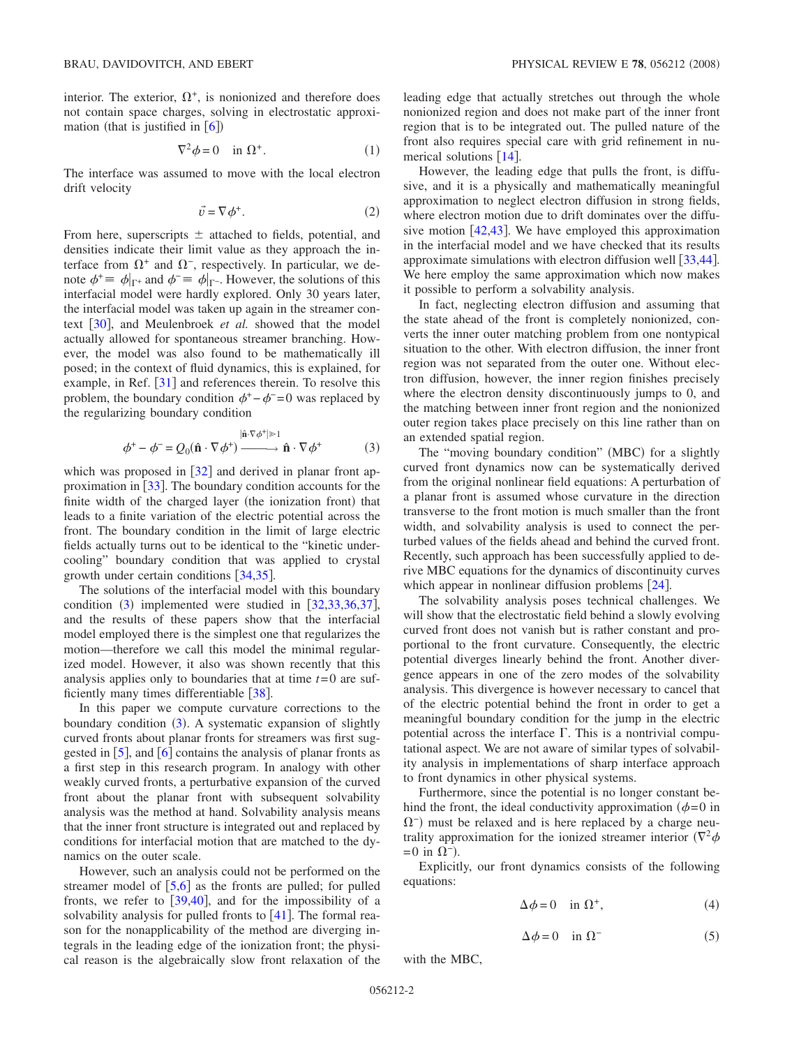interior. The exterior,  $\Omega^+$ , is nonionized and therefore does not contain space charges, solving in electrostatic approximation (that is justified in  $[6]$  $[6]$  $[6]$ )

$$
\nabla^2 \phi = 0 \quad \text{in } \Omega^+.
$$
 (1)

<span id="page-1-1"></span>The interface was assumed to move with the local electron drift velocity

$$
\vec{v} = \nabla \phi^+.
$$
 (2)

From here, superscripts  $\pm$  attached to fields, potential, and densities indicate their limit value as they approach the interface from  $\Omega^+$  and  $\Omega^-$ , respectively. In particular, we denote  $\phi^+ \equiv \phi|_{\Gamma^+}$  and  $\phi^- \equiv \phi|_{\Gamma^-}$ . However, the solutions of this interfacial model were hardly explored. Only 30 years later, the interfacial model was taken up again in the streamer con-text [[30](#page-20-17)], and Meulenbroek *et al.* showed that the model actually allowed for spontaneous streamer branching. However, the model was also found to be mathematically ill posed; in the context of fluid dynamics, this is explained, for example, in Ref.  $\lceil 31 \rceil$  $\lceil 31 \rceil$  $\lceil 31 \rceil$  and references therein. To resolve this problem, the boundary condition  $\phi^+$  – $\phi^-$  =0 was replaced by the regularizing boundary condition

$$
\phi^+ - \phi^- = Q_0(\hat{\mathbf{n}} \cdot \nabla \phi^+) \xrightarrow{|\hat{\mathbf{n}} \cdot \nabla \phi^*| \gg 1} \hat{\mathbf{n}} \cdot \nabla \phi^+ \tag{3}
$$

<span id="page-1-0"></span>which was proposed in  $\lceil 32 \rceil$  $\lceil 32 \rceil$  $\lceil 32 \rceil$  and derived in planar front approximation in  $\left[33\right]$  $\left[33\right]$  $\left[33\right]$ . The boundary condition accounts for the finite width of the charged layer (the ionization front) that leads to a finite variation of the electric potential across the front. The boundary condition in the limit of large electric fields actually turns out to be identical to the "kinetic undercooling" boundary condition that was applied to crystal growth under certain conditions  $\left[34,35\right]$  $\left[34,35\right]$  $\left[34,35\right]$  $\left[34,35\right]$ .

The solutions of the interfacial model with this boundary condition  $(3)$  $(3)$  $(3)$  implemented were studied in  $[32,33,36,37]$  $[32,33,36,37]$  $[32,33,36,37]$  $[32,33,36,37]$  $[32,33,36,37]$  $[32,33,36,37]$ , and the results of these papers show that the interfacial model employed there is the simplest one that regularizes the motion—therefore we call this model the minimal regularized model. However, it also was shown recently that this analysis applies only to boundaries that at time *t*=0 are sufficiently many times differentiable  $[38]$  $[38]$  $[38]$ .

In this paper we compute curvature corrections to the boundary condition ([3](#page-1-0)). A systematic expansion of slightly curved fronts about planar fronts for streamers was first suggested in  $\overline{[5]}$  $\overline{[5]}$  $\overline{[5]}$ , and  $\overline{[6]}$  $\overline{[6]}$  $\overline{[6]}$  contains the analysis of planar fronts as a first step in this research program. In analogy with other weakly curved fronts, a perturbative expansion of the curved front about the planar front with subsequent solvability analysis was the method at hand. Solvability analysis means that the inner front structure is integrated out and replaced by conditions for interfacial motion that are matched to the dynamics on the outer scale.

However, such an analysis could not be performed on the streamer model of  $\left[5,6\right]$  $\left[5,6\right]$  $\left[5,6\right]$  $\left[5,6\right]$  as the fronts are pulled; for pulled fronts, we refer to  $[39,40]$  $[39,40]$  $[39,40]$  $[39,40]$ , and for the impossibility of a solvability analysis for pulled fronts to  $[41]$  $[41]$  $[41]$ . The formal reason for the nonapplicability of the method are diverging integrals in the leading edge of the ionization front; the physical reason is the algebraically slow front relaxation of the leading edge that actually stretches out through the whole nonionized region and does not make part of the inner front region that is to be integrated out. The pulled nature of the front also requires special care with grid refinement in numerical solutions  $[14]$  $[14]$  $[14]$ .

However, the leading edge that pulls the front, is diffusive, and it is a physically and mathematically meaningful approximation to neglect electron diffusion in strong fields, where electron motion due to drift dominates over the diffusive motion  $[42,43]$  $[42,43]$  $[42,43]$  $[42,43]$ . We have employed this approximation in the interfacial model and we have checked that its results approximate simulations with electron diffusion well  $\left[33,44\right]$  $\left[33,44\right]$  $\left[33,44\right]$  $\left[33,44\right]$ . We here employ the same approximation which now makes it possible to perform a solvability analysis.

In fact, neglecting electron diffusion and assuming that the state ahead of the front is completely nonionized, converts the inner outer matching problem from one nontypical situation to the other. With electron diffusion, the inner front region was not separated from the outer one. Without electron diffusion, however, the inner region finishes precisely where the electron density discontinuously jumps to 0, and the matching between inner front region and the nonionized outer region takes place precisely on this line rather than on an extended spatial region.

The "moving boundary condition" (MBC) for a slightly curved front dynamics now can be systematically derived from the original nonlinear field equations: A perturbation of a planar front is assumed whose curvature in the direction transverse to the front motion is much smaller than the front width, and solvability analysis is used to connect the perturbed values of the fields ahead and behind the curved front. Recently, such approach has been successfully applied to derive MBC equations for the dynamics of discontinuity curves which appear in nonlinear diffusion problems  $\lceil 24 \rceil$  $\lceil 24 \rceil$  $\lceil 24 \rceil$ .

The solvability analysis poses technical challenges. We will show that the electrostatic field behind a slowly evolving curved front does not vanish but is rather constant and proportional to the front curvature. Consequently, the electric potential diverges linearly behind the front. Another divergence appears in one of the zero modes of the solvability analysis. This divergence is however necessary to cancel that of the electric potential behind the front in order to get a meaningful boundary condition for the jump in the electric potential across the interface  $\Gamma$ . This is a nontrivial computational aspect. We are not aware of similar types of solvability analysis in implementations of sharp interface approach to front dynamics in other physical systems.

Furthermore, since the potential is no longer constant behind the front, the ideal conductivity approximation  $(\phi=0$  in  $\Omega$ <sup>-</sup>) must be relaxed and is here replaced by a charge neutrality approximation for the ionized streamer interior  $(\nabla^2 \phi)$  $=0$  in  $\Omega$ <sup>-</sup>).

Explicitly, our front dynamics consists of the following equations:

$$
\Delta \phi = 0 \quad \text{in } \Omega^+, \tag{4}
$$

$$
\Delta \phi = 0 \quad \text{in } \Omega^- \tag{5}
$$

<span id="page-1-3"></span><span id="page-1-2"></span>with the MBC,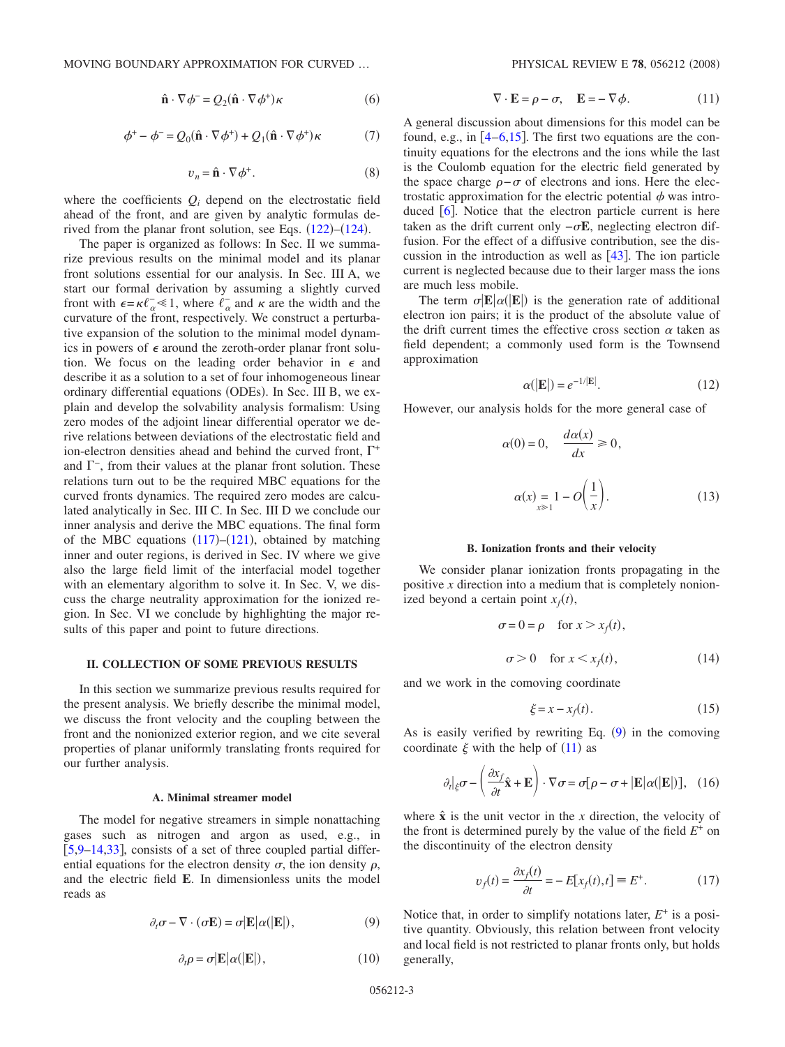$$
\hat{\mathbf{n}} \cdot \nabla \phi^- = Q_2(\hat{\mathbf{n}} \cdot \nabla \phi^+) \kappa \tag{6}
$$

$$
\phi^+ - \phi^- = Q_0(\hat{\mathbf{n}} \cdot \nabla \phi^+) + Q_1(\hat{\mathbf{n}} \cdot \nabla \phi^+) \kappa \tag{7}
$$

$$
v_n = \hat{\mathbf{n}} \cdot \nabla \phi^+.
$$
 (8)

<span id="page-2-4"></span>where the coefficients  $Q_i$  depend on the electrostatic field ahead of the front, and are given by analytic formulas derived from the planar front solution, see Eqs.  $(122)$  $(122)$  $(122)$ – $(124)$  $(124)$  $(124)$ .

The paper is organized as follows: In Sec. II we summarize previous results on the minimal model and its planar front solutions essential for our analysis. In Sec. III A, we start our formal derivation by assuming a slightly curved front with  $\epsilon = \kappa \ell_{\alpha}^{-} \ll 1$ , where  $\ell_{\alpha}^{-}$  and  $\kappa$  are the width and the curvature of the front, respectively. We construct a perturbative expansion of the solution to the minimal model dynamics in powers of  $\epsilon$  around the zeroth-order planar front solution. We focus on the leading order behavior in  $\epsilon$  and describe it as a solution to a set of four inhomogeneous linear ordinary differential equations (ODEs). In Sec. III B, we explain and develop the solvability analysis formalism: Using zero modes of the adjoint linear differential operator we derive relations between deviations of the electrostatic field and ion-electron densities ahead and behind the curved front,  $\Gamma^+$ and  $\Gamma$ <sup>-</sup>, from their values at the planar front solution. These relations turn out to be the required MBC equations for the curved fronts dynamics. The required zero modes are calculated analytically in Sec. III C. In Sec. III D we conclude our inner analysis and derive the MBC equations. The final form of the MBC equations  $(117)–(121)$  $(117)–(121)$  $(117)–(121)$  $(117)–(121)$  $(117)–(121)$ , obtained by matching inner and outer regions, is derived in Sec. IV where we give also the large field limit of the interfacial model together with an elementary algorithm to solve it. In Sec. V, we discuss the charge neutrality approximation for the ionized region. In Sec. VI we conclude by highlighting the major results of this paper and point to future directions.

### **II. COLLECTION OF SOME PREVIOUS RESULTS**

In this section we summarize previous results required for the present analysis. We briefly describe the minimal model, we discuss the front velocity and the coupling between the front and the nonionized exterior region, and we cite several properties of planar uniformly translating fronts required for our further analysis.

### **A. Minimal streamer model**

The model for negative streamers in simple nonattaching gases such as nitrogen and argon as used, e.g., in [[5](#page-20-2)[,9](#page-20-31)[–14,](#page-20-5)[33](#page-20-20)], consists of a set of three coupled partial differential equations for the electron density  $\sigma$ , the ion density  $\rho$ , and the electric field **E**. In dimensionless units the model reads as

<span id="page-2-0"></span>
$$
\partial_t \sigma - \nabla \cdot (\sigma \mathbf{E}) = \sigma |\mathbf{E}| \alpha (|\mathbf{E}|), \tag{9}
$$

$$
\partial_t \rho = \sigma | \mathbf{E} | \alpha (|\mathbf{E}|), \tag{10}
$$

$$
\nabla \cdot \mathbf{E} = \rho - \sigma, \quad \mathbf{E} = -\nabla \phi. \tag{11}
$$

<span id="page-2-1"></span>A general discussion about dimensions for this model can be found, e.g., in  $\left[4-6,15\right]$  $\left[4-6,15\right]$  $\left[4-6,15\right]$  $\left[4-6,15\right]$  $\left[4-6,15\right]$ . The first two equations are the continuity equations for the electrons and the ions while the last is the Coulomb equation for the electric field generated by the space charge  $\rho - \sigma$  of electrons and ions. Here the electrostatic approximation for the electric potential  $\phi$  was introduced  $\lceil 6 \rceil$  $\lceil 6 \rceil$  $\lceil 6 \rceil$ . Notice that the electron particle current is here taken as the drift current only  $-\sigma E$ , neglecting electron diffusion. For the effect of a diffusive contribution, see the discussion in the introduction as well as  $[43]$  $[43]$  $[43]$ . The ion particle current is neglected because due to their larger mass the ions are much less mobile.

The term  $\sigma$   $\mathbb{E}|\alpha(\mathbb{E}|)$  is the generation rate of additional electron ion pairs; it is the product of the absolute value of the drift current times the effective cross section  $\alpha$  taken as field dependent; a commonly used form is the Townsend approximation

$$
\alpha(|\mathbf{E}|) = e^{-1/|\mathbf{E}|}.\tag{12}
$$

<span id="page-2-3"></span>However, our analysis holds for the more general case of

$$
\alpha(0) = 0, \quad \frac{d\alpha(x)}{dx} \ge 0,
$$
  

$$
\alpha(x) = 1 - O\left(\frac{1}{x}\right).
$$
 (13)

#### **B. Ionization fronts and their velocity**

We consider planar ionization fronts propagating in the positive *x* direction into a medium that is completely nonionized beyond a certain point  $x_f(t)$ ,

$$
\sigma = 0 = \rho \quad \text{for } x > x_f(t),
$$
  
\n
$$
\sigma > 0 \quad \text{for } x < x_f(t), \tag{14}
$$

and we work in the comoving coordinate

$$
\xi = x - x_f(t). \tag{15}
$$

<span id="page-2-2"></span>As is easily verified by rewriting Eq.  $(9)$  $(9)$  $(9)$  in the comoving coordinate  $\xi$  with the help of ([11](#page-2-1)) as

$$
\partial_t |_{\xi} \sigma - \left( \frac{\partial x_f}{\partial t} \hat{\mathbf{x}} + \mathbf{E} \right) \cdot \nabla \sigma = \sigma [\rho - \sigma + |\mathbf{E}| \alpha (|\mathbf{E}|)], \quad (16)
$$

where  $\hat{x}$  is the unit vector in the *x* direction, the velocity of the front is determined purely by the value of the field  $E^+$  on the discontinuity of the electron density

$$
v_f(t) = \frac{\partial x_f(t)}{\partial t} = -E[x_f(t), t] \equiv E^+.
$$
 (17)

Notice that, in order to simplify notations later, *E*<sup>+</sup> is a positive quantity. Obviously, this relation between front velocity and local field is not restricted to planar fronts only, but holds generally,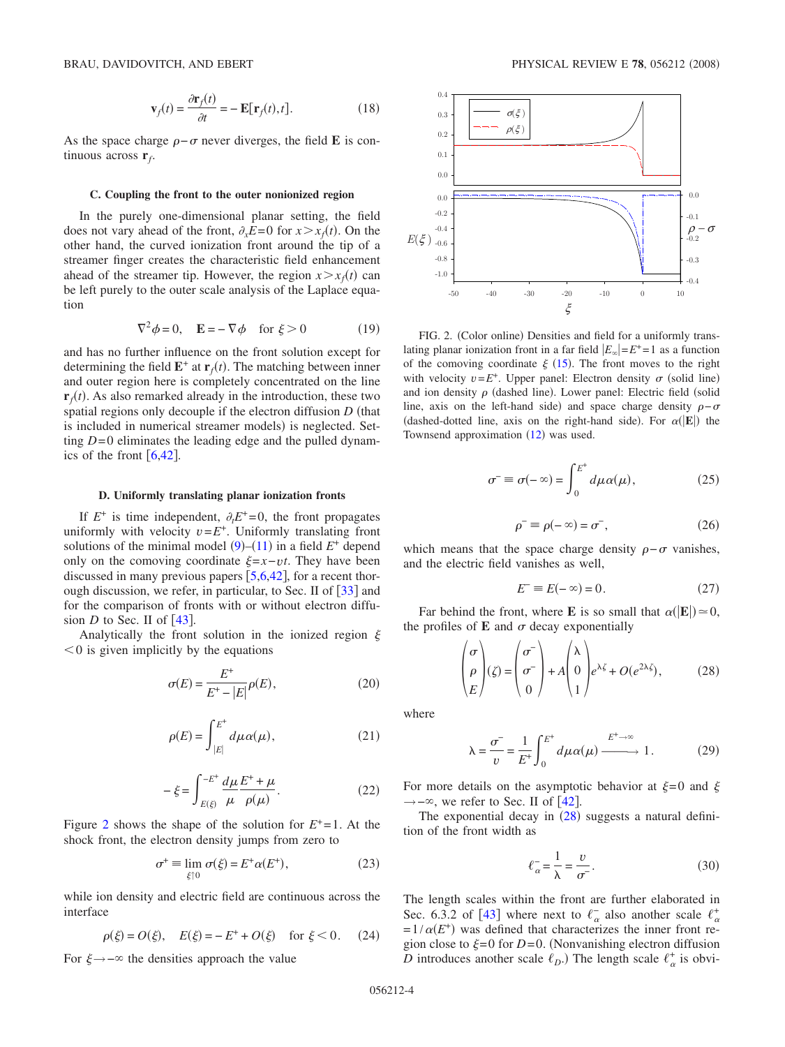$$
\mathbf{v}_f(t) = \frac{\partial \mathbf{r}_f(t)}{\partial t} = -\mathbf{E}[\mathbf{r}_f(t), t].
$$
 (18)

<span id="page-3-8"></span>As the space charge  $\rho - \sigma$  never diverges, the field **E** is continuous across **r***f*.

### **C. Coupling the front to the outer nonionized region**

In the purely one-dimensional planar setting, the field does not vary ahead of the front,  $\partial_x E = 0$  for  $x > x_f(t)$ . On the other hand, the curved ionization front around the tip of a streamer finger creates the characteristic field enhancement ahead of the streamer tip. However, the region  $x > x_f(t)$  can be left purely to the outer scale analysis of the Laplace equation

$$
\nabla^2 \phi = 0, \quad \mathbf{E} = -\nabla \phi \quad \text{for } \xi > 0 \tag{19}
$$

<span id="page-3-7"></span>and has no further influence on the front solution except for determining the field  $\mathbf{E}^+$  at  $\mathbf{r}_f(t)$ . The matching between inner and outer region here is completely concentrated on the line  $\mathbf{r}_f(t)$ . As also remarked already in the introduction, these two spatial regions only decouple if the electron diffusion *D* (that is included in numerical streamer models) is neglected. Setting *D*=0 eliminates the leading edge and the pulled dynamics of the front  $\lceil 6, 42 \rceil$  $\lceil 6, 42 \rceil$  $\lceil 6, 42 \rceil$  $\lceil 6, 42 \rceil$  $\lceil 6, 42 \rceil$ .

#### **D. Uniformly translating planar ionization fronts**

If  $E^+$  is time independent,  $\partial_t E^+ = 0$ , the front propagates uniformly with velocity  $v = E^+$ . Uniformly translating front solutions of the minimal model  $(9)$  $(9)$  $(9)$ – $(11)$  $(11)$  $(11)$  in a field  $E^+$  depend only on the comoving coordinate  $\xi = x - vt$ . They have been discussed in many previous papers  $\lceil 5.6, 42 \rceil$  $\lceil 5.6, 42 \rceil$  $\lceil 5.6, 42 \rceil$  $\lceil 5.6, 42 \rceil$  $\lceil 5.6, 42 \rceil$ , for a recent thorough discussion, we refer, in particular, to Sec. II of  $\lceil 33 \rceil$  $\lceil 33 \rceil$  $\lceil 33 \rceil$  and for the comparison of fronts with or without electron diffusion *D* to Sec. II of  $\lceil 43 \rceil$  $\lceil 43 \rceil$  $\lceil 43 \rceil$ .

<span id="page-3-6"></span>Analytically the front solution in the ionized region  $\xi$  $0$  is given implicitly by the equations

$$
\sigma(E) = \frac{E^+}{E^+ - |E|} \rho(E),\tag{20}
$$

$$
\rho(E) = \int_{|E|}^{E^+} d\mu \alpha(\mu), \qquad (21)
$$

$$
-\xi = \int_{E(\xi)}^{-E^+} \frac{d\mu}{\mu} \frac{E^+ + \mu}{\rho(\mu)}.
$$
 (22)

<span id="page-3-5"></span><span id="page-3-3"></span>Figure [2](#page-3-1) shows the shape of the solution for  $E^+=1$ . At the shock front, the electron density jumps from zero to

$$
\sigma^+ \equiv \lim_{\xi \uparrow 0} \sigma(\xi) = E^+ \alpha(E^+), \tag{23}
$$

while ion density and electric field are continuous across the interface

$$
(\xi) = O(\xi), \quad E(\xi) = -E^+ + O(\xi) \quad \text{for } \xi < 0. \tag{24}
$$

For  $\xi \rightarrow -\infty$  the densities approach the value

 $\overline{\rho}$ 

<span id="page-3-1"></span>

FIG. 2. (Color online) Densities and field for a uniformly translating planar ionization front in a far field  $|E_{\infty}| = E^+ = 1$  as a function of the comoving coordinate  $\xi$  ([15](#page-2-2)). The front moves to the right with velocity  $v = E^+$ . Upper panel: Electron density  $\sigma$  (solid line) and ion density  $\rho$  (dashed line). Lower panel: Electric field (solid line, axis on the left-hand side) and space charge density  $\rho-\sigma$ (dashed-dotted line, axis on the right-hand side). For  $\alpha(|E|)$  the Townsend approximation  $(12)$  $(12)$  $(12)$  was used.

$$
\sigma^- \equiv \sigma(-\infty) = \int_0^{E^+} d\mu \alpha(\mu), \qquad (25)
$$

$$
\rho^- \equiv \rho(-\infty) = \sigma^-, \tag{26}
$$

<span id="page-3-11"></span><span id="page-3-10"></span>which means that the space charge density  $\rho - \sigma$  vanishes, and the electric field vanishes as well,

$$
E^- \equiv E(-\infty) = 0. \tag{27}
$$

<span id="page-3-4"></span>Far behind the front, where **E** is so small that  $\alpha(|\mathbf{E}|) \approx 0$ , the profiles of  $E$  and  $\sigma$  decay exponentially

$$
\begin{pmatrix} \sigma \\ \rho \\ E \end{pmatrix} (\zeta) = \begin{pmatrix} \sigma^- \\ \sigma^- \\ 0 \end{pmatrix} + A \begin{pmatrix} \lambda \\ 0 \\ 1 \end{pmatrix} e^{\lambda \zeta} + O(e^{2\lambda \zeta}), \quad (28)
$$

<span id="page-3-2"></span>where

$$
\lambda = \frac{\sigma^-}{v} = \frac{1}{E^+} \int_0^{E^+} d\mu \alpha(\mu) \xrightarrow{E^+ \to \infty} 1.
$$
 (29)

<span id="page-3-9"></span>For more details on the asymptotic behavior at  $\xi=0$  and  $\xi$  $\rightarrow$  – $\infty$ , we refer to Sec. II of [[42](#page-20-28)].

The exponential decay in  $(28)$  $(28)$  $(28)$  suggests a natural definition of the front width as

$$
\ell_{\alpha}^- = \frac{1}{\lambda} = \frac{v}{\sigma}.\tag{30}
$$

<span id="page-3-0"></span>The length scales within the front are further elaborated in Sec. 6.3.2 of [[43](#page-20-29)] where next to  $\ell_{\alpha}^-$  also another scale  $\ell_{\alpha}^+$  $=1/\alpha(E^+)$  was defined that characterizes the inner front region close to  $\xi = 0$  for  $D=0$ . (Nonvanishing electron diffusion *D* introduces another scale  $\ell_D$ .) The length scale  $\ell_{\alpha}^+$  is obvi-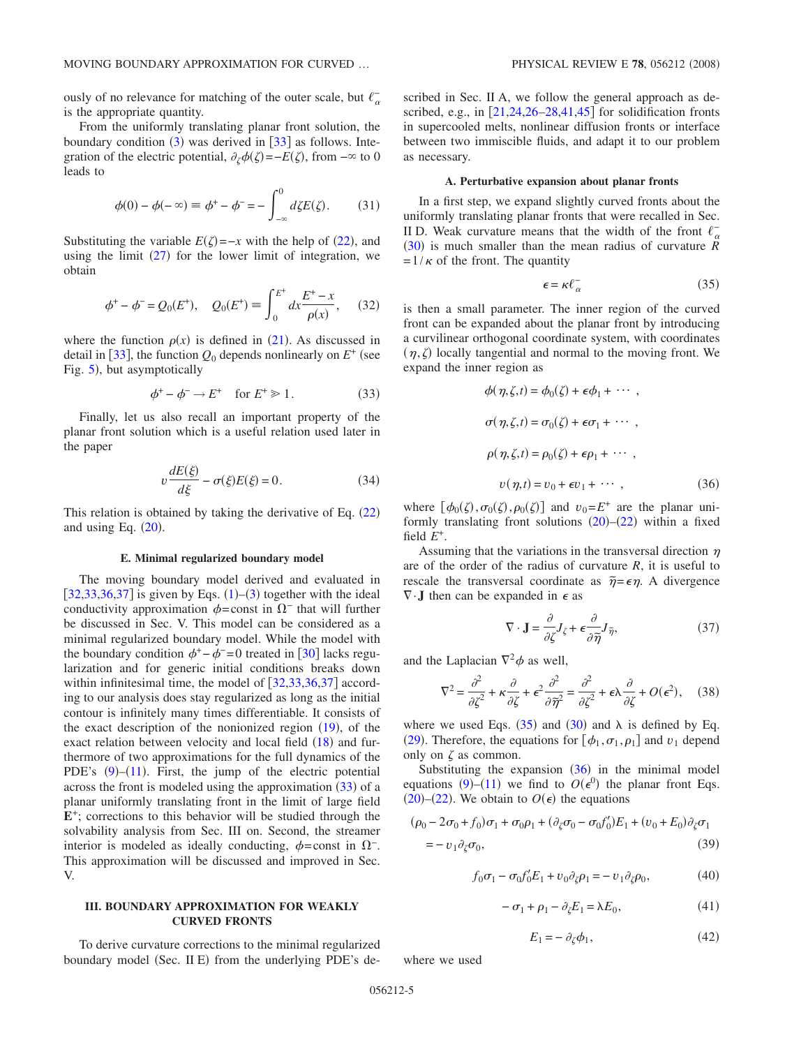ously of no relevance for matching of the outer scale, but  $\ell_{\alpha}^$ is the appropriate quantity.

From the uniformly translating planar front solution, the boundary condition  $(3)$  $(3)$  $(3)$  was derived in [[33](#page-20-20)] as follows. Integration of the electric potential,  $\partial_{\zeta} \phi(\zeta) = -E(\zeta)$ , from  $-\infty$  to 0 leads to

$$
\phi(0) - \phi(-\infty) \equiv \phi^+ - \phi^- = -\int_{-\infty}^0 d\zeta E(\zeta). \tag{31}
$$

Substituting the variable  $E(\zeta) = -x$  with the help of ([22](#page-3-3)), and using the limit  $(27)$  $(27)$  $(27)$  for the lower limit of integration, we obtain

$$
\phi^+ - \phi^- = Q_0(E^+), \quad Q_0(E^+) = \int_0^{E^+} dx \frac{E^+ - x}{\rho(x)}, \quad (32)
$$

<span id="page-4-6"></span>where the function  $\rho(x)$  is defined in ([21](#page-3-5)). As discussed in detail in [[33](#page-20-20)], the function  $Q_0$  depends nonlinearly on  $E^+$  (see Fig. [5](#page-10-0)), but asymptotically

$$
\phi^+ - \phi^- \to E^+ \quad \text{for } E^+ \ge 1. \tag{33}
$$

<span id="page-4-0"></span>Finally, let us also recall an important property of the planar front solution which is a useful relation used later in the paper

$$
v\frac{dE(\xi)}{d\xi} - \sigma(\xi)E(\xi) = 0.
$$
 (34)

<span id="page-4-7"></span>This relation is obtained by taking the derivative of Eq.  $(22)$  $(22)$  $(22)$ and using Eq.  $(20)$  $(20)$  $(20)$ .

#### **E. Minimal regularized boundary model**

The moving boundary model derived and evaluated in  $[32,33,36,37]$  $[32,33,36,37]$  $[32,33,36,37]$  $[32,33,36,37]$  $[32,33,36,37]$  $[32,33,36,37]$  is given by Eqs.  $(1)$  $(1)$  $(1)$ – $(3)$  $(3)$  $(3)$  together with the ideal conductivity approximation  $\phi$ =const in  $\Omega$ <sup>-</sup> that will further be discussed in Sec. V. This model can be considered as a minimal regularized boundary model. While the model with the boundary condition  $\phi^+$  –  $\phi^-$  =0 treated in [[30](#page-20-17)] lacks regularization and for generic initial conditions breaks down within infinitesimal time, the model of  $\left[32,33,36,37\right]$  $\left[32,33,36,37\right]$  $\left[32,33,36,37\right]$  $\left[32,33,36,37\right]$  $\left[32,33,36,37\right]$  $\left[32,33,36,37\right]$  according to our analysis does stay regularized as long as the initial contour is infinitely many times differentiable. It consists of the exact description of the nonionized region ([19](#page-3-7)), of the exact relation between velocity and local field  $(18)$  $(18)$  $(18)$  and furthermore of two approximations for the full dynamics of the PDE's  $(9)$  $(9)$  $(9)$ - $(11)$  $(11)$  $(11)$ . First, the jump of the electric potential across the front is modeled using the approximation  $(33)$  $(33)$  $(33)$  of a planar uniformly translating front in the limit of large field **E**<sup>+</sup>; corrections to this behavior will be studied through the solvability analysis from Sec. III on. Second, the streamer interior is modeled as ideally conducting,  $\phi$ =const in  $\Omega^-$ . This approximation will be discussed and improved in Sec. V.

## **III. BOUNDARY APPROXIMATION FOR WEAKLY CURVED FRONTS**

To derive curvature corrections to the minimal regularized boundary model (Sec. II E) from the underlying PDE's described in Sec. II A, we follow the general approach as described, e.g., in  $\left[21,24,26-28,41,45\right]$  $\left[21,24,26-28,41,45\right]$  $\left[21,24,26-28,41,45\right]$  $\left[21,24,26-28,41,45\right]$  $\left[21,24,26-28,41,45\right]$  $\left[21,24,26-28,41,45\right]$  $\left[21,24,26-28,41,45\right]$  $\left[21,24,26-28,41,45\right]$  for solidification fronts in supercooled melts, nonlinear diffusion fronts or interface between two immiscible fluids, and adapt it to our problem as necessary.

### **A. Perturbative expansion about planar fronts**

In a first step, we expand slightly curved fronts about the uniformly translating planar fronts that were recalled in Sec. II D. Weak curvature means that the width of the front  $\ell_{\alpha}^-$ ([30](#page-3-0)) is much smaller than the mean radius of curvature *R*  $=1/\kappa$  of the front. The quantity

$$
\epsilon = \kappa \ell_{\alpha}^{-} \tag{35}
$$

<span id="page-4-1"></span>is then a small parameter. The inner region of the curved front can be expanded about the planar front by introducing a curvilinear orthogonal coordinate system, with coordinates  $(\eta, \zeta)$  locally tangential and normal to the moving front. We expand the inner region as

<span id="page-4-2"></span>
$$
\phi(\eta, \zeta, t) = \phi_0(\zeta) + \epsilon \phi_1 + \cdots,
$$
  
\n
$$
\sigma(\eta, \zeta, t) = \sigma_0(\zeta) + \epsilon \sigma_1 + \cdots,
$$
  
\n
$$
\rho(\eta, \zeta, t) = \rho_0(\zeta) + \epsilon \rho_1 + \cdots,
$$
  
\n
$$
v(\eta, t) = v_0 + \epsilon v_1 + \cdots,
$$
\n(36)

where  $[\phi_0(\zeta), \sigma_0(\zeta), \rho_0(\zeta)]$  and  $v_0 = E^+$  are the planar uniformly translating front solutions  $(20)$  $(20)$  $(20)$ – $(22)$  $(22)$  $(22)$  within a fixed field  $E^+$ .

Assuming that the variations in the transversal direction  $\eta$ are of the order of the radius of curvature *R*, it is useful to rescale the transversal coordinate as  $\tilde{\eta} = \epsilon \eta$ . A divergence  $\nabla \cdot \mathbf{J}$  then can be expanded in  $\epsilon$  as

$$
\nabla \cdot \mathbf{J} = \frac{\partial}{\partial \zeta} J_{\zeta} + \epsilon \frac{\partial}{\partial \tilde{\eta}} J_{\tilde{\eta}},
$$
(37)

and the Laplacian  $\nabla^2 \phi$  as well,

$$
\nabla^2 = \frac{\partial^2}{\partial \zeta^2} + \kappa \frac{\partial}{\partial \zeta} + \epsilon^2 \frac{\partial^2}{\partial \widetilde{\eta}^2} = \frac{\partial^2}{\partial \zeta^2} + \epsilon \lambda \frac{\partial}{\partial \zeta} + O(\epsilon^2), \quad (38)
$$

<span id="page-4-4"></span>where we used Eqs. ([35](#page-4-1)) and ([30](#page-3-0)) and  $\lambda$  is defined by Eq. ([29](#page-3-9)). Therefore, the equations for  $[\phi_1, \sigma_1, \rho_1]$  and  $v_1$  depend only on  $\zeta$  as common.

Substituting the expansion  $(36)$  $(36)$  $(36)$  in the minimal model equations ([9](#page-2-0))–([11](#page-2-1)) we find to  $O(\epsilon^0)$  the planar front Eqs.  $(20)$  $(20)$  $(20)$ – $(22)$  $(22)$  $(22)$ . We obtain to  $O(\epsilon)$  the equations

<span id="page-4-3"></span>
$$
(\rho_0 - 2\sigma_0 + f_0)\sigma_1 + \sigma_0\rho_1 + (\partial_{\zeta}\sigma_0 - \sigma_0f_0')E_1 + (\upsilon_0 + E_0)\partial_{\zeta}\sigma_1
$$
  
= 
$$
-\upsilon_1\partial_{\zeta}\sigma_0,
$$
 (39)

$$
f_0 \sigma_1 - \sigma_0 f'_0 E_1 + v_0 \partial_\zeta \rho_1 = -v_1 \partial_\zeta \rho_0, \qquad (40)
$$

$$
-\sigma_1 + \rho_1 - \partial_{\zeta} E_1 = \lambda E_0, \qquad (41)
$$

$$
E_1 = -\partial_{\zeta} \phi_1,\tag{42}
$$

<span id="page-4-5"></span>where we used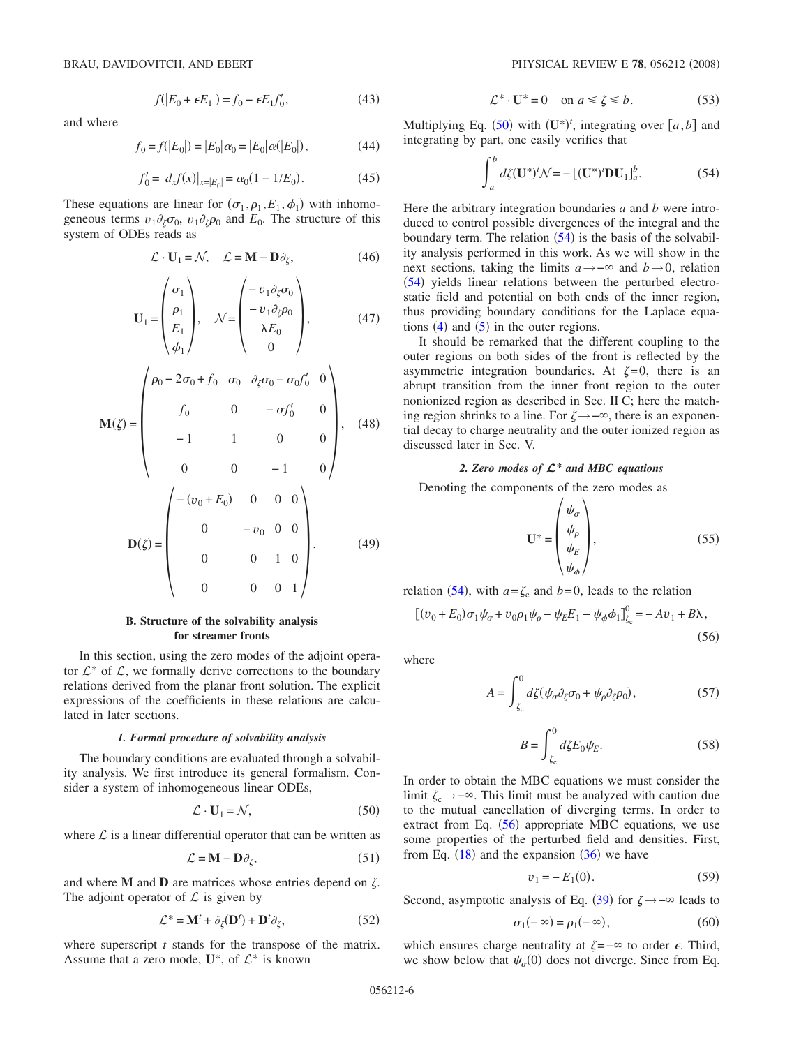$f(|E_0 + \epsilon E_1|) = f_0 - \epsilon E_1 f'_0$  $(43)$ 

and where

$$
f_0 = f(|E_0|) = |E_0|\alpha_0 = |E_0|\alpha(|E_0|), \tag{44}
$$

$$
f_0' = d_x f(x)|_{x=|E_0|} = \alpha_0 (1 - 1/E_0).
$$
 (45)

<span id="page-5-10"></span><span id="page-5-9"></span>These equations are linear for  $(\sigma_1, \rho_1, E_1, \phi_1)$  with inhomogeneous terms  $v_1 \partial_\zeta \sigma_0$ ,  $v_1 \partial_\zeta \rho_0$  and  $E_0$ . The structure of this system of ODEs reads as

$$
\mathcal{L} \cdot \mathbf{U}_1 = \mathcal{N}, \quad \mathcal{L} = \mathbf{M} - \mathbf{D} \partial_{\zeta}, \tag{46}
$$

$$
\mathbf{U}_1 = \begin{pmatrix} \sigma_1 \\ \rho_1 \\ E_1 \\ \phi_1 \end{pmatrix}, \quad \mathcal{N} = \begin{pmatrix} -v_1 \partial_{\zeta} \sigma_0 \\ -v_1 \partial_{\zeta} \rho_0 \\ \lambda E_0 \\ 0 \end{pmatrix}, \tag{47}
$$

$$
\mathbf{M}(\zeta) = \begin{pmatrix} \rho_0 - 2\sigma_0 + f_0 & \sigma_0 & \partial_{\zeta}\sigma_0 - \sigma_0 f'_0 & 0 \\ f_0 & 0 & -\sigma f'_0 & 0 \\ -1 & 1 & 0 & 0 \\ 0 & 0 & -1 & 0 \end{pmatrix}, \quad (48)
$$

$$
\mathbf{D}(\zeta) = \begin{pmatrix} -(v_0 + E_0) & 0 & 0 & 0 \\ 0 & -v_0 & 0 & 0 \\ 0 & 0 & 1 & 0 \\ 0 & 0 & 0 & 1 \end{pmatrix}.
$$
 (49)

### **B. Structure of the solvability analysis for streamer fronts**

In this section, using the zero modes of the adjoint operator  $\mathcal{L}^*$  of  $\mathcal{L}$ , we formally derive corrections to the boundary relations derived from the planar front solution. The explicit expressions of the coefficients in these relations are calculated in later sections.

## *1. Formal procedure of solvability analysis*

The boundary conditions are evaluated through a solvability analysis. We first introduce its general formalism. Consider a system of inhomogeneous linear ODEs,

$$
\mathcal{L} \cdot \mathbf{U}_1 = \mathcal{N},\tag{50}
$$

<span id="page-5-0"></span>where  $\mathcal L$  is a linear differential operator that can be written as

$$
\mathcal{L} = \mathbf{M} - \mathbf{D}\partial_{\zeta},\tag{51}
$$

and where  $M$  and  $D$  are matrices whose entries depend on  $\zeta$ . The adjoint operator of  $\mathcal L$  is given by

$$
\mathcal{L}^* = \mathbf{M}^t + \partial_{\zeta}(\mathbf{D}^t) + \mathbf{D}^t \partial_{\zeta},
$$
 (52)

<span id="page-5-5"></span>where superscript *t* stands for the transpose of the matrix. Assume that a zero mode,  $U^*$ , of  $\mathcal{L}^*$  is known

$$
\mathcal{L}^* \cdot \mathbf{U}^* = 0 \quad \text{on } a \le \zeta \le b. \tag{53}
$$

<span id="page-5-6"></span>Multiplying Eq. ([50](#page-5-0)) with  $(\mathbf{U}^*)^t$ , integrating over  $[a, b]$  and integrating by part, one easily verifies that

$$
\int_{a}^{b} d\zeta(\mathbf{U}^*)^t \mathcal{N} = -\left[ (\mathbf{U}^*)^t \mathbf{D} \mathbf{U}_1 \right]_{a}^{b}.
$$
 (54)

<span id="page-5-1"></span>Here the arbitrary integration boundaries *a* and *b* were introduced to control possible divergences of the integral and the boundary term. The relation  $(54)$  $(54)$  $(54)$  is the basis of the solvability analysis performed in this work. As we will show in the next sections, taking the limits  $a \rightarrow -\infty$  and  $b \rightarrow 0$ , relation ([54](#page-5-1)) yields linear relations between the perturbed electrostatic field and potential on both ends of the inner region, thus providing boundary conditions for the Laplace equations  $(4)$  $(4)$  $(4)$  and  $(5)$  $(5)$  $(5)$  in the outer regions.

It should be remarked that the different coupling to the outer regions on both sides of the front is reflected by the asymmetric integration boundaries. At  $\zeta = 0$ , there is an abrupt transition from the inner front region to the outer nonionized region as described in Sec. II C; here the matching region shrinks to a line. For  $\zeta \rightarrow -\infty$ , there is an exponential decay to charge neutrality and the outer ionized region as discussed later in Sec. V.

## *2. Zero modes of L***\*** *and MBC equations*

Denoting the components of the zero modes as

$$
\mathbf{U}^* = \begin{pmatrix} \psi_{\sigma} \\ \psi_{\rho} \\ \psi_E \\ \psi_{\phi} \end{pmatrix}, \tag{55}
$$

relation ([54](#page-5-1)), with  $a = \zeta_c$  and  $b = 0$ , leads to the relation

<span id="page-5-2"></span>
$$
[(v_0 + E_0)\sigma_1\psi_{\sigma} + v_0\rho_1\psi_{\rho} - \psi_E E_1 - \psi_{\phi}\phi_1]_{\zeta_c}^0 = -Av_1 + B\lambda,
$$
\n(56)

<span id="page-5-3"></span>where

$$
A = \int_{\zeta_{\rm c}}^0 d\zeta (\psi_{\sigma} \partial_{\zeta} \sigma_0 + \psi_{\rho} \partial_{\zeta} \rho_0), \tag{57}
$$

$$
B = \int_{\zeta_{\rm c}}^0 d\zeta E_0 \psi_E. \tag{58}
$$

<span id="page-5-4"></span>In order to obtain the MBC equations we must consider the limit  $\zeta$ <sup>-→</sup>−∞. This limit must be analyzed with caution due to the mutual cancellation of diverging terms. In order to extract from Eq. ([56](#page-5-2)) appropriate MBC equations, we use some properties of the perturbed field and densities. First, from Eq.  $(18)$  $(18)$  $(18)$  and the expansion  $(36)$  $(36)$  $(36)$  we have

$$
v_1 = -E_1(0). \t\t(59)
$$

<span id="page-5-8"></span>Second, asymptotic analysis of Eq. ([39](#page-4-3)) for  $\zeta \rightarrow -\infty$  leads to

$$
\sigma_1(-\infty) = \rho_1(-\infty),\tag{60}
$$

<span id="page-5-7"></span>which ensures charge neutrality at  $\zeta = -\infty$  to order  $\epsilon$ . Third, we show below that  $\psi_{\sigma}(0)$  does not diverge. Since from Eq.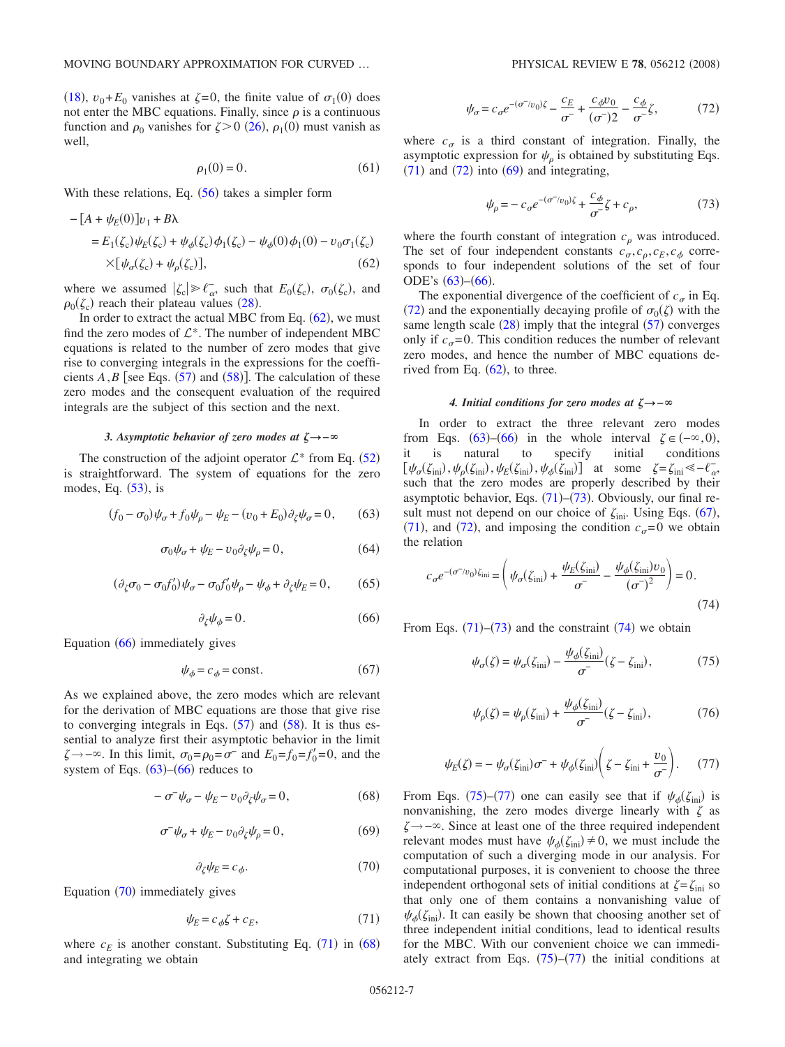$(18)$  $(18)$  $(18)$ ,  $v_0 + E_0$  vanishes at  $\zeta = 0$ , the finite value of  $\sigma_1(0)$  does not enter the MBC equations. Finally, since  $\rho$  is a continuous function and  $\rho_0$  vanishes for  $\zeta > 0$  ([26](#page-3-10)),  $\rho_1(0)$  must vanish as well,

$$
\rho_1(0) = 0. \tag{61}
$$

With these relations, Eq.  $(56)$  $(56)$  $(56)$  takes a simpler form

<span id="page-6-0"></span>
$$
-[A + \psi_E(0)]v_1 + B\lambda
$$
  
=  $E_1(\zeta_c)\psi_E(\zeta_c) + \psi_{\phi}(\zeta_c)\phi_1(\zeta_c) - \psi_{\phi}(0)\phi_1(0) - v_0\sigma_1(\zeta_c)$   

$$
\times [\psi_{\sigma}(\zeta_c) + \psi_{\rho}(\zeta_c)], \qquad (62)
$$

where we assumed  $|\zeta_c| \ge \ell_\alpha^-,$  such that  $E_0(\zeta_c)$ ,  $\sigma_0(\zeta_c)$ , and  $\rho_0(\zeta_c)$  reach their plateau values ([28](#page-3-2)).

In order to extract the actual MBC from Eq.  $(62)$  $(62)$  $(62)$ , we must find the zero modes of  $\mathcal{L}^*$ . The number of independent MBC equations is related to the number of zero modes that give rise to converging integrals in the expressions for the coefficients  $A, B$  [see Eqs.  $(57)$  $(57)$  $(57)$  and  $(58)$  $(58)$  $(58)$ ]. The calculation of these zero modes and the consequent evaluation of the required integrals are the subject of this section and the next.

### *3. Asymptotic behavior of zero modes at* **\−**-

The construction of the adjoint operator  $\mathcal{L}^*$  from Eq. ([52](#page-5-5)) is straightforward. The system of equations for the zero modes, Eq.  $(53)$  $(53)$  $(53)$ , is

<span id="page-6-2"></span>
$$
(f_0 - \sigma_0)\psi_\sigma + f_0\psi_\rho - \psi_E - (v_0 + E_0)\partial_\zeta\psi_\sigma = 0, \qquad (63)
$$

$$
\sigma_0 \psi_\sigma + \psi_E - \upsilon_0 \partial_\zeta \psi_\rho = 0, \tag{64}
$$

$$
(\partial_{\zeta}\sigma_0 - \sigma_0 f_0')\psi_{\sigma} - \sigma_0 f_0'\psi_{\rho} - \psi_{\phi} + \partial_{\zeta}\psi_E = 0, \qquad (65)
$$

$$
\partial_{\zeta}\psi_{\phi}=0.\tag{66}
$$

<span id="page-6-1"></span>Equation  $(66)$  $(66)$  $(66)$  immediately gives

$$
\psi_{\phi} = c_{\phi} = \text{const.}\tag{67}
$$

<span id="page-6-9"></span>As we explained above, the zero modes which are relevant for the derivation of MBC equations are those that give rise to converging integrals in Eqs.  $(57)$  $(57)$  $(57)$  and  $(58)$  $(58)$  $(58)$ . It is thus essential to analyze first their asymptotic behavior in the limit  $\zeta \rightarrow -\infty$ . In this limit,  $\sigma_0 = \rho_0 = \sigma^-$  and  $E_0 = f_0 = f'_0 = 0$ , and the system of Eqs.  $(63)$  $(63)$  $(63)$ – $(66)$  $(66)$  $(66)$  reduces to

$$
-\sigma^{-}\psi_{\sigma} - \psi_{E} - \upsilon_{0}\partial_{\zeta}\psi_{\sigma} = 0, \qquad (68)
$$

$$
\sigma^- \psi_\sigma + \psi_E - v_0 \partial_\zeta \psi_\rho = 0, \qquad (69)
$$

$$
\partial_{\zeta}\psi_E = c_{\phi}.\tag{70}
$$

<span id="page-6-7"></span><span id="page-6-5"></span><span id="page-6-3"></span>Equation  $(70)$  $(70)$  $(70)$  immediately gives

$$
\psi_E = c_\phi \zeta + c_E,\tag{71}
$$

<span id="page-6-4"></span>where  $c_E$  is another constant. Substituting Eq. ([71](#page-6-4)) in ([68](#page-6-5)) and integrating we obtain

$$
\psi_{\sigma} = c_{\sigma} e^{-(\sigma^{-}/v_0)\zeta} - \frac{c_E}{\sigma^{-}} + \frac{c_{\phi} v_0}{(\sigma^{-})2} - \frac{c_{\phi}}{\sigma^{-}} \zeta,
$$
\n(72)

<span id="page-6-6"></span>where  $c_{\sigma}$  is a third constant of integration. Finally, the asymptotic expression for  $\psi$ <sub>o</sub> is obtained by substituting Eqs.  $(71)$  $(71)$  $(71)$  and  $(72)$  $(72)$  $(72)$  into  $(69)$  $(69)$  $(69)$  and integrating,

$$
\psi_{\rho} = -c_{\sigma}e^{-(\sigma^{-}/v_0)\zeta} + \frac{c_{\phi}}{\sigma^{-}}\zeta + c_{\rho},\tag{73}
$$

<span id="page-6-8"></span>where the fourth constant of integration  $c_{\rho}$  was introduced. The set of four independent constants  $c_{\sigma}, c_{\rho}, c_{E}, c_{\phi}$  corresponds to four independent solutions of the set of four ODE's  $(63)$  $(63)$  $(63)$ – $(66)$  $(66)$  $(66)$ .

The exponential divergence of the coefficient of  $c_{\sigma}$  in Eq. ([72](#page-6-6)) and the exponentially decaying profile of  $\sigma_0(\zeta)$  with the same length scale  $(28)$  $(28)$  $(28)$  imply that the integral  $(57)$  $(57)$  $(57)$  converges only if  $c_{\sigma} = 0$ . This condition reduces the number of relevant zero modes, and hence the number of MBC equations derived from Eq.  $(62)$  $(62)$  $(62)$ , to three.

## *4. Initial conditions for zero modes at* **\−**-

In order to extract the three relevant zero modes from Eqs. ([63](#page-6-2))–([66](#page-6-1)) in the whole interval  $\zeta \in (-\infty, 0)$ , it is natural to specify initial conditions  $[\psi_{\sigma}(\zeta_{\text{ini}}), \psi_{\rho}(\zeta_{\text{ini}}), \psi_{E}(\zeta_{\text{ini}}), \psi_{\phi}(\zeta_{\text{ini}})]$  at some  $\zeta = \zeta_{\text{ini}} \ll -\ell_{\alpha}$ , such that the zero modes are properly described by their asymptotic behavior, Eqs.  $(71)$  $(71)$  $(71)$ – $(73)$  $(73)$  $(73)$ . Obviously, our final result must not depend on our choice of  $\zeta_{\text{ini}}$ . Using Eqs. ([67](#page-6-9)), ([71](#page-6-4)), and ([72](#page-6-6)), and imposing the condition  $c_{\sigma} = 0$  we obtain the relation

<span id="page-6-10"></span>
$$
c_{\sigma}e^{-(\sigma^{-}/v_0)\zeta_{\rm ini}} = \left(\psi_{\sigma}(\zeta_{\rm ini}) + \frac{\psi_E(\zeta_{\rm ini})}{\sigma^{-}} - \frac{\psi_{\phi}(\zeta_{\rm ini})v_0}{(\sigma^{-})^2}\right) = 0.
$$
\n(74)

<span id="page-6-11"></span>From Eqs.  $(71)$  $(71)$  $(71)$ – $(73)$  $(73)$  $(73)$  and the constraint  $(74)$  $(74)$  $(74)$  we obtain

$$
\psi_{\sigma}(\zeta) = \psi_{\sigma}(\zeta_{\text{ini}}) - \frac{\psi_{\phi}(\zeta_{\text{ini}})}{\sigma^{-}}(\zeta - \zeta_{\text{ini}}), \tag{75}
$$

$$
\psi_{\rho}(\zeta) = \psi_{\rho}(\zeta_{\text{ini}}) + \frac{\psi_{\phi}(\zeta_{\text{ini}})}{\sigma^{-}}(\zeta - \zeta_{\text{ini}}),\tag{76}
$$

<span id="page-6-13"></span>
$$
\psi_E(\zeta) = -\psi_\sigma(\zeta_{\rm ini})\,\sigma^- + \psi_\phi(\zeta_{\rm ini})\bigg(\zeta - \zeta_{\rm ini} + \frac{v_0}{\sigma^-}\bigg). \tag{77}
$$

<span id="page-6-12"></span>From Eqs. ([75](#page-6-11))–([77](#page-6-12)) one can easily see that if  $\psi_{\phi}(\zeta_{\text{ini}})$  is nonvanishing, the zero modes diverge linearly with  $\zeta$  as  $\zeta \rightarrow -\infty$ . Since at least one of the three required independent relevant modes must have  $\psi_{\phi}(\zeta_{\text{ini}}) \neq 0$ , we must include the computation of such a diverging mode in our analysis. For computational purposes, it is convenient to choose the three independent orthogonal sets of initial conditions at  $\zeta = \zeta_{\text{ini}}$  so that only one of them contains a nonvanishing value of  $\psi_{\phi}(\zeta_{\text{ini}})$ . It can easily be shown that choosing another set of three independent initial conditions, lead to identical results for the MBC. With our convenient choice we can immediately extract from Eqs.  $(75)-(77)$  $(75)-(77)$  $(75)-(77)$  $(75)-(77)$  $(75)-(77)$  the initial conditions at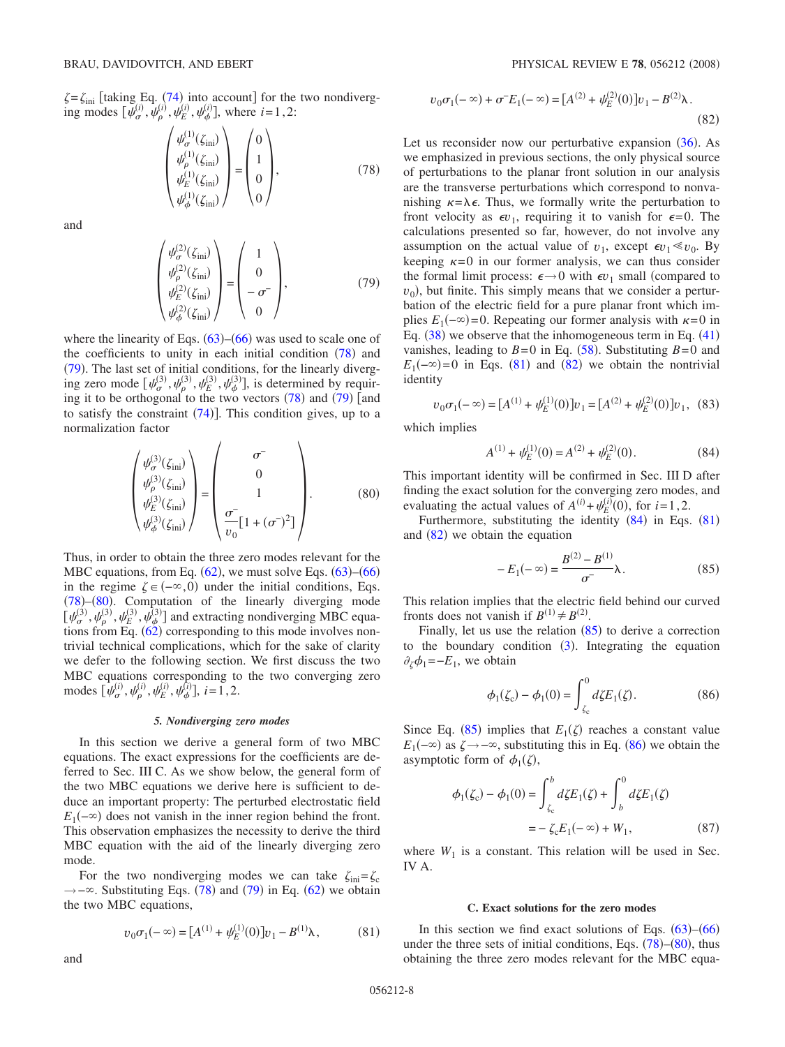<span id="page-7-0"></span> $\zeta = \zeta_{\text{ini}}$  [taking Eq. ([74](#page-6-10)) into account] for the two nondiverging modes  $[\psi_{\sigma}^{(i)}, \psi_{\rho}^{(i)}, \psi_{E}^{(i)}, \psi_{\phi}^{(i)}]$ , where *i*=1,2:

$$
\begin{pmatrix} \psi_{\sigma}^{(1)}(\zeta_{\text{ini}}) \\ \psi_{\rho}^{(1)}(\zeta_{\text{ini}}) \\ \psi_{E}^{(1)}(\zeta_{\text{ini}}) \\ \psi_{\phi}^{(1)}(\zeta_{\text{ini}}) \end{pmatrix} = \begin{pmatrix} 0 \\ 1 \\ 0 \\ 0 \end{pmatrix}, \tag{78}
$$

<span id="page-7-1"></span>and

$$
\begin{pmatrix} \psi_{\sigma}^{(2)}(\zeta_{\text{ini}}) \\ \psi_{\rho}^{(2)}(\zeta_{\text{ini}}) \\ \psi_{E}^{(2)}(\zeta_{\text{ini}}) \\ \psi_{\phi}^{(2)}(\zeta_{\text{ini}}) \end{pmatrix} = \begin{pmatrix} 1 \\ 0 \\ -\sigma^{-} \\ 0 \end{pmatrix}, \tag{79}
$$

where the linearity of Eqs.  $(63)$  $(63)$  $(63)$ – $(66)$  $(66)$  $(66)$  was used to scale one of the coefficients to unity in each initial condition  $(78)$  $(78)$  $(78)$  and  $(79)$  $(79)$  $(79)$ . The last set of initial conditions, for the linearly diverging zero mode  $[\psi_{\sigma}^{(3)}, \psi_{\rho}^{(3)}, \psi_{E}^{(3)}, \psi_{\phi}^{(3)}]$ , is determined by requiring it to be orthogonal to the two vectors  $(78)$  $(78)$  $(78)$  and  $(79)$  $(79)$  $(79)$  [and to satisfy the constraint  $(74)$  $(74)$  $(74)$ ]. This condition gives, up to a normalization factor

<span id="page-7-2"></span>
$$
\begin{pmatrix}\n\psi_{\sigma}^{(3)}(\zeta_{\text{ini}}) \\
\psi_{\rho}^{(3)}(\zeta_{\text{ini}}) \\
\psi_{\phi}^{(3)}(\zeta_{\text{ini}})\n\end{pmatrix} = \begin{pmatrix}\n\sigma \\
0 \\
1 \\
\sigma \\
\sigma_{\text{D}}\left[1 + (\sigma^{-})^2\right]\n\end{pmatrix}.
$$
\n(80)

Thus, in order to obtain the three zero modes relevant for the MBC equations, from Eq.  $(62)$  $(62)$  $(62)$ , we must solve Eqs.  $(63)$  $(63)$  $(63)$ – $(66)$  $(66)$  $(66)$ in the regime  $\zeta \in (-\infty, 0)$  under the initial conditions, Eqs. ([78](#page-7-0))-([80](#page-7-2)). Computation of the linearly diverging mode  $[\psi_{\sigma}^{(3)}, \psi_{\rho}^{(3)}, \psi_{\sigma}^{(3)}]$  and extracting nondiverging MBC equations from Eq.  $(62)$  $(62)$  $(62)$  corresponding to this mode involves nontrivial technical complications, which for the sake of clarity we defer to the following section. We first discuss the two MBC equations corresponding to the two converging zero modes  $[\psi_{\sigma}^{(i)}, \psi_{\rho}^{(i)}, \psi_{E}^{(i)}, \psi_{\phi}^{(i)}], i=1,2.$ 

### *5. Nondiverging zero modes*

In this section we derive a general form of two MBC equations. The exact expressions for the coefficients are deferred to Sec. III C. As we show below, the general form of the two MBC equations we derive here is sufficient to deduce an important property: The perturbed electrostatic field  $E_1(-\infty)$  does not vanish in the inner region behind the front. This observation emphasizes the necessity to derive the third MBC equation with the aid of the linearly diverging zero mode.

For the two nondiverging modes we can take  $\zeta_{\text{ini}} = \zeta_c$ → -∞. Substituting Eqs. ([78](#page-7-0)) and ([79](#page-7-1)) in Eq. ([62](#page-6-0)) we obtain the two MBC equations,

$$
v_0 \sigma_1(-\infty) = [A^{(1)} + \psi_E^{(1)}(0)]v_1 - B^{(1)}\lambda, \qquad (81)
$$

$$
v_0 \sigma_1(-\infty) + \sigma^- E_1(-\infty) = [A^{(2)} + \psi_E^{(2)}(0)]v_1 - B^{(2)}\lambda.
$$
\n(82)

<span id="page-7-4"></span>Let us reconsider now our perturbative expansion ([36](#page-4-2)). As we emphasized in previous sections, the only physical source of perturbations to the planar front solution in our analysis are the transverse perturbations which correspond to nonvanishing  $\kappa = \lambda \epsilon$ . Thus, we formally write the perturbation to front velocity as  $\epsilon v_1$ , requiring it to vanish for  $\epsilon = 0$ . The calculations presented so far, however, do not involve any assumption on the actual value of  $v_1$ , except  $\epsilon v_1 \ll v_0$ . By keeping  $\kappa=0$  in our former analysis, we can thus consider the formal limit process:  $\epsilon \rightarrow 0$  with  $\epsilon v_1$  small (compared to  $v_0$ ), but finite. This simply means that we consider a perturbation of the electric field for a pure planar front which implies  $E_1(-\infty) = 0$ . Repeating our former analysis with  $\kappa = 0$  in Eq.  $(38)$  $(38)$  $(38)$  we observe that the inhomogeneous term in Eq.  $(41)$  $(41)$  $(41)$ vanishes, leading to  $B=0$  in Eq. ([58](#page-5-4)). Substituting  $B=0$  and  $E_1(-\infty)=0$  in Eqs. ([81](#page-7-3)) and ([82](#page-7-4)) we obtain the nontrivial identity

$$
v_0 \sigma_1(-\infty) = [A^{(1)} + \psi_E^{(1)}(0)] v_1 = [A^{(2)} + \psi_E^{(2)}(0)] v_1, (83)
$$

which implies

$$
A^{(1)} + \psi_E^{(1)}(0) = A^{(2)} + \psi_E^{(2)}(0). \tag{84}
$$

This important identity will be confirmed in Sec. III D after finding the exact solution for the converging zero modes, and evaluating the actual values of  $A^{(i)} + \psi_E^{(i)}(0)$ , for  $i = 1, 2$ .

Furthermore, substituting the identity  $(84)$  $(84)$  $(84)$  in Eqs.  $(81)$  $(81)$  $(81)$ and  $(82)$  $(82)$  $(82)$  we obtain the equation

$$
-E_1(-\infty) = \frac{B^{(2)} - B^{(1)}}{\sigma^-} \lambda.
$$
 (85)

<span id="page-7-5"></span>This relation implies that the electric field behind our curved fronts does not vanish if  $B^{(1)} \neq B^{(2)}$ .

Finally, let us use the relation  $(85)$  $(85)$  $(85)$  to derive a correction to the boundary condition  $(3)$  $(3)$  $(3)$ . Integrating the equation  $\partial_{\zeta} \phi_1 = -E_1$ , we obtain

$$
\phi_1(\zeta_c) - \phi_1(0) = \int_{\zeta_c}^0 d\zeta E_1(\zeta). \tag{86}
$$

<span id="page-7-6"></span>Since Eq. ([85](#page-7-5)) implies that  $E_1(\zeta)$  reaches a constant value  $E_1(-\infty)$  as  $\zeta \to -\infty$ , substituting this in Eq. ([86](#page-7-6)) we obtain the asymptotic form of  $\phi_1(\zeta)$ ,

$$
\phi_1(\zeta_c) - \phi_1(0) = \int_{\zeta_c}^{b} d\zeta E_1(\zeta) + \int_{b}^{0} d\zeta E_1(\zeta)
$$
  
=  $-\zeta_c E_1(-\infty) + W_1,$  (87)

<span id="page-7-7"></span>where  $W_1$  is a constant. This relation will be used in Sec. IV A.

### **C. Exact solutions for the zero modes**

In this section we find exact solutions of Eqs.  $(63)$  $(63)$  $(63)$ – $(66)$  $(66)$  $(66)$ under the three sets of initial conditions, Eqs.  $(78)$  $(78)$  $(78)$ – $(80)$  $(80)$  $(80)$ , thus obtaining the three zero modes relevant for the MBC equa-

<span id="page-7-3"></span>and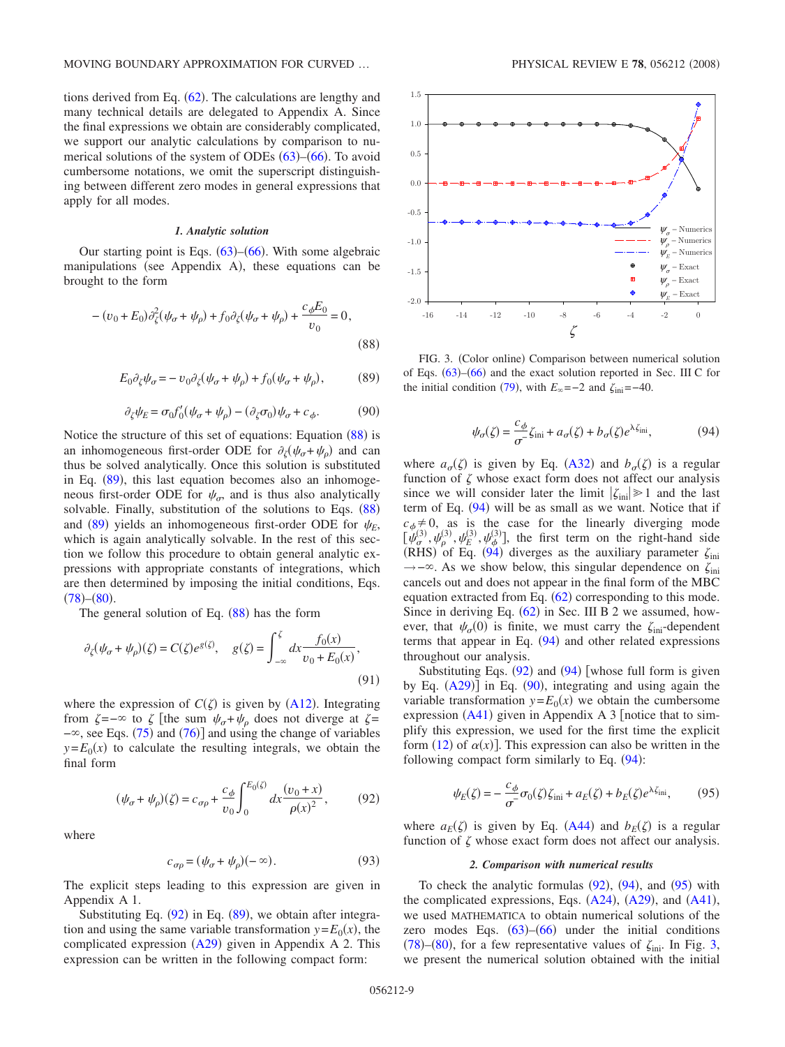tions derived from Eq.  $(62)$  $(62)$  $(62)$ . The calculations are lengthy and many technical details are delegated to Appendix A. Since the final expressions we obtain are considerably complicated, we support our analytic calculations by comparison to numerical solutions of the system of ODEs  $(63)$  $(63)$  $(63)$ – $(66)$  $(66)$  $(66)$ . To avoid cumbersome notations, we omit the superscript distinguishing between different zero modes in general expressions that apply for all modes.

### *1. Analytic solution*

Our starting point is Eqs.  $(63)$  $(63)$  $(63)$ – $(66)$  $(66)$  $(66)$ . With some algebraic manipulations (see Appendix A), these equations can be brought to the form

<span id="page-8-0"></span>
$$
-(v_0 + E_0)\partial_{\xi}^2(\psi_{\sigma} + \psi_{\rho}) + f_0 \partial_{\xi}(\psi_{\sigma} + \psi_{\rho}) + \frac{c_{\phi}E_0}{v_0} = 0,
$$
\n(88)

$$
E_0 \partial_{\zeta} \psi_{\sigma} = -\upsilon_0 \partial_{\zeta} (\psi_{\sigma} + \psi_{\rho}) + f_0(\psi_{\sigma} + \psi_{\rho}), \tag{89}
$$

$$
\partial_{\zeta}\psi_E = \sigma_0 f_0'(\psi_\sigma + \psi_\rho) - (\partial_{\zeta}\sigma_0)\psi_\sigma + c_\phi. \tag{90}
$$

<span id="page-8-4"></span><span id="page-8-1"></span>Notice the structure of this set of equations: Equation  $(88)$  $(88)$  $(88)$  is an inhomogeneous first-order ODE for  $\partial_{\zeta}(\psi_{\sigma} + \psi_{\rho})$  and can thus be solved analytically. Once this solution is substituted in Eq.  $(89)$  $(89)$  $(89)$ , this last equation becomes also an inhomogeneous first-order ODE for  $\psi_{\sigma}$ , and is thus also analytically solvable. Finally, substitution of the solutions to Eqs.  $(88)$  $(88)$  $(88)$ and ([89](#page-8-1)) yields an inhomogeneous first-order ODE for  $\psi_E$ , which is again analytically solvable. In the rest of this section we follow this procedure to obtain general analytic expressions with appropriate constants of integrations, which are then determined by imposing the initial conditions, Eqs.  $(78)$  $(78)$  $(78)$  –  $(80)$  $(80)$  $(80)$ .

The general solution of Eq.  $(88)$  $(88)$  $(88)$  has the form

$$
\partial_{\zeta}(\psi_{\sigma} + \psi_{\rho})(\zeta) = C(\zeta)e^{g(\zeta)}, \quad g(\zeta) = \int_{-\infty}^{\zeta} dx \frac{f_0(x)}{v_0 + E_0(x)},
$$
\n(91)

where the expression of  $C(\zeta)$  is given by ([A12](#page-15-0)). Integrating from  $\zeta = -\infty$  to  $\zeta$  [the sum  $\psi_{\sigma} + \psi_{\rho}$  does not diverge at  $\zeta =$  $-\infty$ , see Eqs. ([75](#page-6-11)) and ([76](#page-6-13))] and using the change of variables  $y = E_0(x)$  to calculate the resulting integrals, we obtain the final form

$$
(\psi_{\sigma} + \psi_{\rho})(\zeta) = c_{\sigma\rho} + \frac{c_{\phi}}{v_0} \int_0^{E_0(\zeta)} dx \frac{(v_0 + x)}{\rho(x)^2},
$$
(92)

<span id="page-8-2"></span>where

$$
c_{\sigma\rho} = (\psi_{\sigma} + \psi_{\rho})(-\infty). \tag{93}
$$

<span id="page-8-7"></span>The explicit steps leading to this expression are given in Appendix A 1.

Substituting Eq. ([92](#page-8-2)) in Eq. ([89](#page-8-1)), we obtain after integration and using the same variable transformation  $y = E_0(x)$ , the complicated expression  $(A29)$  $(A29)$  $(A29)$  given in Appendix A 2. This expression can be written in the following compact form:

<span id="page-8-6"></span>

FIG. 3. (Color online) Comparison between numerical solution of Eqs. ([63](#page-6-2))–([66](#page-6-1)) and the exact solution reported in Sec. III C for the initial condition ([79](#page-7-1)), with  $E_{\infty}$ =−2 and  $\zeta_{\text{ini}}$ =−40.

$$
\psi_{\sigma}(\zeta) = \frac{c_{\phi}}{\sigma} \zeta_{\text{ini}} + a_{\sigma}(\zeta) + b_{\sigma}(\zeta) e^{\lambda \zeta_{\text{ini}}},\tag{94}
$$

<span id="page-8-3"></span>where  $a_{\sigma}(\zeta)$  is given by Eq. ([A32](#page-16-1)) and  $b_{\sigma}(\zeta)$  is a regular function of  $\zeta$  whose exact form does not affect our analysis since we will consider later the limit  $|\zeta_{\text{ini}}| \geq 1$  and the last term of Eq.  $(94)$  $(94)$  $(94)$  will be as small as we want. Notice that if  $c_{\phi} \neq 0$ , as is the case for the linearly diverging mode  $[\psi_{\sigma}^{(3)}, \psi_{\rho}^{(3)}, \psi_{\sigma}^{(3)}, \psi_{\phi}^{(3)}]$ , the first term on the right-hand side (RHS) of Eq. ([94](#page-8-3)) diverges as the auxiliary parameter  $\zeta_{\text{ini}}$  $\rightarrow$ − $\infty$ . As we show below, this singular dependence on  $\zeta_{\text{ini}}$ cancels out and does not appear in the final form of the MBC equation extracted from Eq.  $(62)$  $(62)$  $(62)$  corresponding to this mode. Since in deriving Eq.  $(62)$  $(62)$  $(62)$  in Sec. III B 2 we assumed, however, that  $\psi_{\sigma}(0)$  is finite, we must carry the  $\zeta_{\text{ini}}$ -dependent terms that appear in Eq.  $(94)$  $(94)$  $(94)$  and other related expressions throughout our analysis.

Substituting Eqs.  $(92)$  $(92)$  $(92)$  and  $(94)$  $(94)$  $(94)$  [whose full form is given by Eq.  $(A29)$  $(A29)$  $(A29)$ ] in Eq.  $(90)$  $(90)$  $(90)$ , integrating and using again the variable transformation  $y = E_0(x)$  we obtain the cumbersome expression  $(A41)$  $(A41)$  $(A41)$  given in Appendix A 3 [notice that to simplify this expression, we used for the first time the explicit form  $(12)$  $(12)$  $(12)$  of  $\alpha(x)$ ]. This expression can also be written in the following compact form similarly to Eq.  $(94)$  $(94)$  $(94)$ :

$$
\psi_E(\zeta) = -\frac{c_\phi}{\sigma^2} \sigma_0(\zeta) \zeta_{\text{ini}} + a_E(\zeta) + b_E(\zeta) e^{\lambda \zeta_{\text{ini}}},\tag{95}
$$

<span id="page-8-5"></span>where  $a_E(\zeta)$  is given by Eq. ([A44](#page-17-1)) and  $b_E(\zeta)$  is a regular function of  $\zeta$  whose exact form does not affect our analysis.

### *2. Comparison with numerical results*

To check the analytic formulas  $(92)$  $(92)$  $(92)$ ,  $(94)$  $(94)$  $(94)$ , and  $(95)$  $(95)$  $(95)$  with the complicated expressions, Eqs.  $(A24)$  $(A24)$  $(A24)$ ,  $(A29)$  $(A29)$  $(A29)$ , and  $(A41)$  $(A41)$  $(A41)$ , we used MATHEMATICA to obtain numerical solutions of the zero modes Eqs.  $(63)$  $(63)$  $(63)$ – $(66)$  $(66)$  $(66)$  under the initial conditions ([78](#page-7-0))–([80](#page-7-2)), for a few representative values of  $\zeta_{\text{ini}}$ . In Fig. [3,](#page-8-6) we present the numerical solution obtained with the initial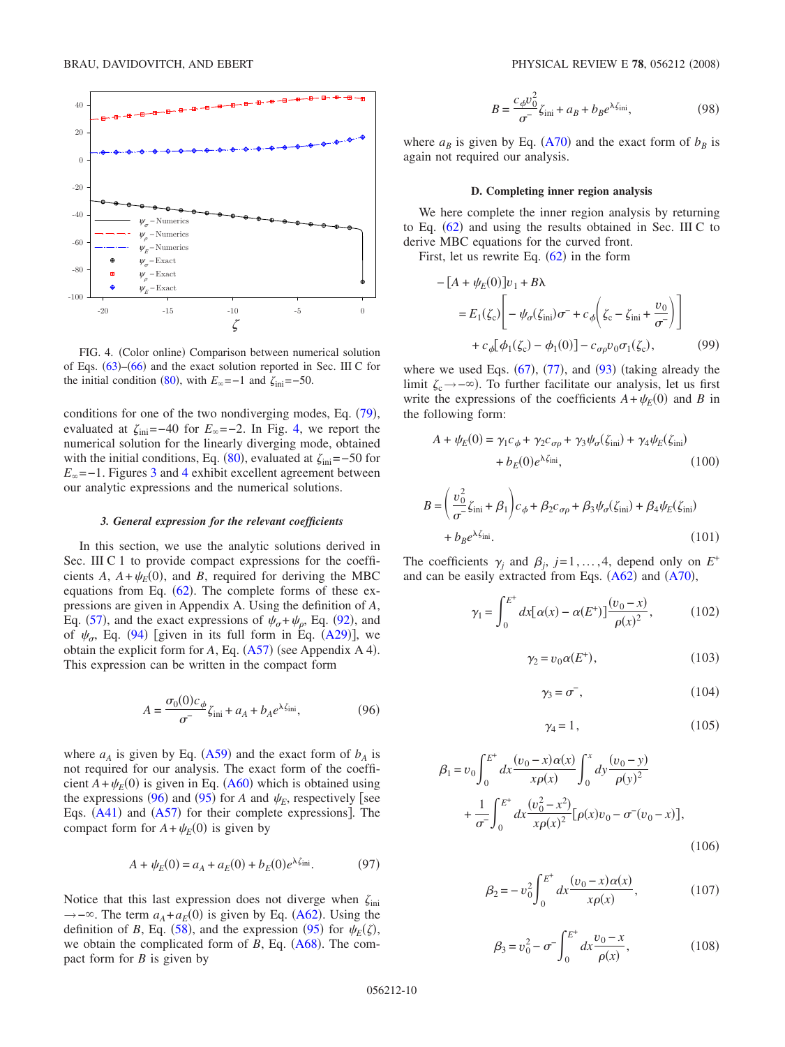<span id="page-9-0"></span>

FIG. 4. (Color online) Comparison between numerical solution of Eqs. ([63](#page-6-2))–([66](#page-6-1)) and the exact solution reported in Sec. III C for the initial condition ([80](#page-7-2)), with  $E_{\infty}$ =−1 and  $\zeta_{\text{ini}}$ =−50.

conditions for one of the two nondiverging modes, Eq.  $(79)$  $(79)$  $(79)$ , evaluated at  $\zeta_{\text{ini}}$ =−40 for  $E_{\infty}$ =−2. In Fig. [4,](#page-9-0) we report the numerical solution for the linearly diverging mode, obtained with the initial conditions, Eq.  $(80)$  $(80)$  $(80)$ , evaluated at  $\zeta_{\text{ini}}$ =–50 for  $E_{\infty}$ =−1. Figures [3](#page-8-6) and [4](#page-9-0) exhibit excellent agreement between our analytic expressions and the numerical solutions.

### *3. General expression for the relevant coefficients*

In this section, we use the analytic solutions derived in Sec. III C 1 to provide compact expressions for the coefficients *A*,  $A + \psi_E(0)$ , and *B*, required for deriving the MBC equations from Eq.  $(62)$  $(62)$  $(62)$ . The complete forms of these expressions are given in Appendix A. Using the definition of *A*, Eq. ([57](#page-5-3)), and the exact expressions of  $\psi_{\sigma} + \psi_{\rho}$ , Eq. ([92](#page-8-2)), and of  $\psi_{\sigma}$ , Eq. ([94](#page-8-3)) [given in its full form in Eq. ([A29](#page-16-0))], we obtain the explicit form for  $A$ , Eq.  $(A57)$  $(A57)$  $(A57)$  (see Appendix A 4). This expression can be written in the compact form

$$
A = \frac{\sigma_0(0)c_{\phi}}{\sigma^2} \zeta_{\text{ini}} + a_A + b_A e^{\lambda \zeta_{\text{ini}}},\tag{96}
$$

<span id="page-9-1"></span>where  $a_A$  is given by Eq. ([A59](#page-18-1)) and the exact form of  $b_A$  is not required for our analysis. The exact form of the coefficient  $A + \psi_E(0)$  is given in Eq. ([A60](#page-18-2)) which is obtained using the expressions ([96](#page-9-1)) and ([95](#page-8-5)) for *A* and  $\psi_E$ , respectively [see Eqs.  $(A41)$  $(A41)$  $(A41)$  and  $(A57)$  $(A57)$  $(A57)$  for their complete expressions]. The compact form for  $A + \psi_E(0)$  is given by

$$
A + \psi_E(0) = a_A + a_E(0) + b_E(0)e^{\lambda \zeta_{\text{ini}}}. \tag{97}
$$

Notice that this last expression does not diverge when  $\zeta_{\text{ini}}$  $\rightarrow$ − $\infty$ . The term *a<sub>A</sub>*+*a<sub>E</sub>*(0) is given by Eq. ([A62](#page-18-3)). Using the definition of *B*, Eq. ([58](#page-5-4)), and the expression ([95](#page-8-5)) for  $\psi_E(\zeta)$ , we obtain the complicated form of *B*, Eq. ([A68](#page-19-0)). The compact form for *B* is given by

$$
B = \frac{c_{\phi}v_0^2}{\sigma^2}\zeta_{\text{ini}} + a_B + b_B e^{\lambda\zeta_{\text{ini}}},\tag{98}
$$

<span id="page-9-7"></span>where  $a_B$  is given by Eq. ([A70](#page-19-1)) and the exact form of  $b_B$  is again not required our analysis.

### **D. Completing inner region analysis**

We here complete the inner region analysis by returning to Eq.  $(62)$  $(62)$  $(62)$  and using the results obtained in Sec. III C to derive MBC equations for the curved front.

First, let us rewrite Eq.  $(62)$  $(62)$  $(62)$  in the form

<span id="page-9-4"></span>
$$
-[A + \psi_E(0)]v_1 + B\lambda
$$
  
=  $E_1(\zeta_c)\left[-\psi_\sigma(\zeta_{\rm ini})\sigma^- + c_\phi\left(\zeta_c - \zeta_{\rm ini} + \frac{v_0}{\sigma^-}\right)\right]$   
+  $c_\phi[\phi_1(\zeta_c) - \phi_1(0)] - c_{\sigma\rho}v_0\sigma_1(\zeta_c),$  (99)

where we used Eqs.  $(67)$  $(67)$  $(67)$ ,  $(77)$  $(77)$  $(77)$ , and  $(93)$  $(93)$  $(93)$  (taking already the limit  $\zeta_c \rightarrow -\infty$ ). To further facilitate our analysis, let us first write the expressions of the coefficients  $A + \psi_E(0)$  and *B* in the following form:

<span id="page-9-2"></span>
$$
A + \psi_E(0) = \gamma_1 c_\phi + \gamma_2 c_{\sigma \rho} + \gamma_3 \psi_\sigma(\zeta_{\text{ini}}) + \gamma_4 \psi_E(\zeta_{\text{ini}})
$$
  
+  $b_E(0) e^{\lambda \zeta_{\text{ini}}},$  (100)

<span id="page-9-3"></span>
$$
B = \left(\frac{v_0^2}{\sigma^2} \zeta_{\text{ini}} + \beta_1\right) c_{\phi} + \beta_2 c_{\sigma \rho} + \beta_3 \psi_{\sigma}(\zeta_{\text{ini}}) + \beta_4 \psi_E(\zeta_{\text{ini}})
$$

$$
+ b_B e^{\lambda \zeta_{\text{ini}}}.
$$
(101)

The coefficients  $\gamma_i$  and  $\beta_i$ ,  $j=1,\ldots,4$ , depend only on  $E^+$ and can be easily extracted from Eqs.  $(A62)$  $(A62)$  $(A62)$  and  $(A70)$  $(A70)$  $(A70)$ ,

$$
\gamma_1 = \int_0^{E^+} dx [\alpha(x) - \alpha(E^+)] \frac{(v_0 - x)}{\rho(x)^2},
$$
 (102)

$$
\gamma_2 = v_0 \alpha(E^+),\tag{103}
$$

$$
\gamma_3 = \sigma^-, \tag{104}
$$

$$
\gamma_4 = 1, \tag{105}
$$

<span id="page-9-6"></span><span id="page-9-5"></span>
$$
\beta_1 = v_0 \int_0^{E^+} dx \frac{(v_0 - x)\alpha(x)}{x\rho(x)} \int_0^x dy \frac{(v_0 - y)}{\rho(y)^2} + \frac{1}{\sigma^2} \int_0^{E^+} dx \frac{(v_0^2 - x^2)}{x\rho(x)^2} [\rho(x)v_0 - \sigma^2(v_0 - x)],
$$
\n(106)

$$
\beta_2 = -v_0^2 \int_0^{E^+} dx \frac{(v_0 - x)\alpha(x)}{x\rho(x)},
$$
\n(107)

$$
\beta_3 = v_0^2 - \sigma^-\int_0^{E^+} dx \frac{v_0 - x}{\rho(x)},
$$
\n(108)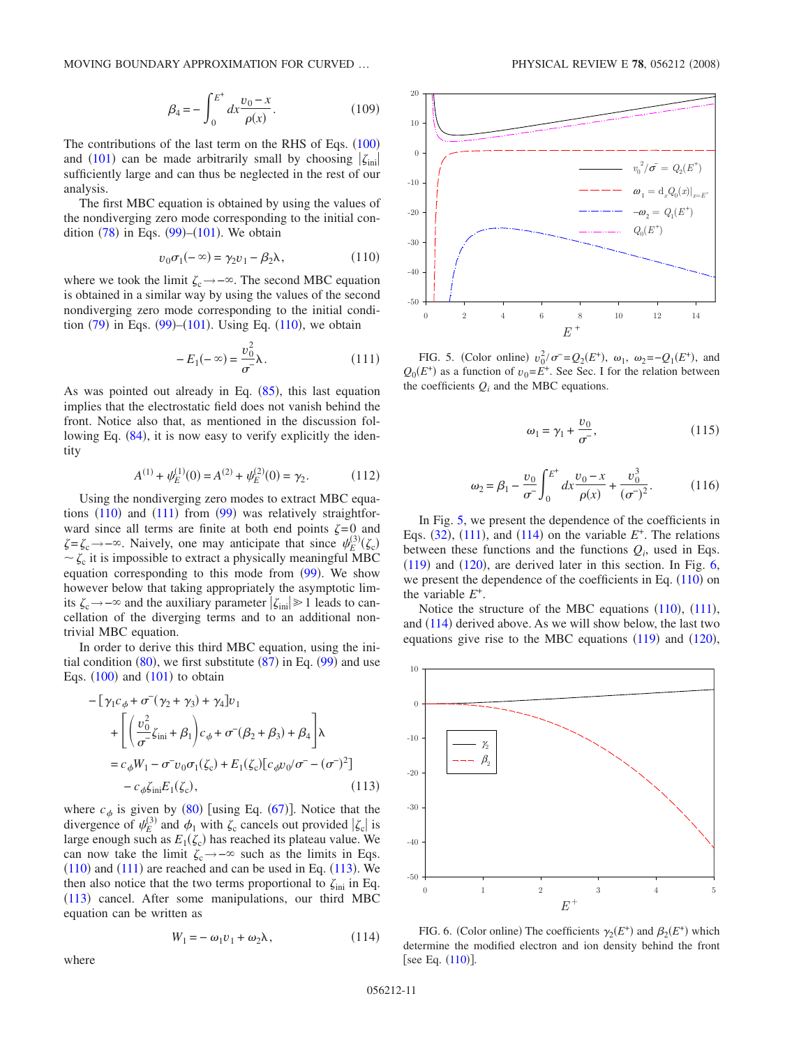$$
\beta_4 = -\int_0^{E^+} dx \frac{v_0 - x}{\rho(x)}.
$$
\n(109)

The contributions of the last term on the RHS of Eqs.  $(100)$  $(100)$  $(100)$ and ([101](#page-9-3)) can be made arbitrarily small by choosing  $|\zeta_{\text{ini}}|$ sufficiently large and can thus be neglected in the rest of our analysis.

The first MBC equation is obtained by using the values of the nondiverging zero mode corresponding to the initial condition  $(78)$  $(78)$  $(78)$  in Eqs.  $(99)$  $(99)$  $(99)$ – $(101)$  $(101)$  $(101)$ . We obtain

$$
v_0 \sigma_1(-\infty) = \gamma_2 v_1 - \beta_2 \lambda, \qquad (110)
$$

<span id="page-10-1"></span>where we took the limit  $\zeta_c \rightarrow -\infty$ . The second MBC equation is obtained in a similar way by using the values of the second nondiverging zero mode corresponding to the initial condition  $(79)$  $(79)$  $(79)$  in Eqs.  $(99)$  $(99)$  $(99)$ – $(101)$  $(101)$  $(101)$ . Using Eq.  $(110)$  $(110)$  $(110)$ , we obtain

$$
-E_1(-\infty) = \frac{v_0^2}{\sigma^2} \lambda.
$$
 (111)

<span id="page-10-2"></span>As was pointed out already in Eq.  $(85)$  $(85)$  $(85)$ , this last equation implies that the electrostatic field does not vanish behind the front. Notice also that, as mentioned in the discussion fol-lowing Eq. ([84](#page-7-4)), it is now easy to verify explicitly the identity

$$
A^{(1)} + \psi_E^{(1)}(0) = A^{(2)} + \psi_E^{(2)}(0) = \gamma_2.
$$
 (112)

Using the nondiverging zero modes to extract MBC equations  $(110)$  $(110)$  $(110)$  and  $(111)$  $(111)$  $(111)$  from  $(99)$  $(99)$  $(99)$  was relatively straightforward since all terms are finite at both end points  $\zeta = 0$  and  $\zeta = \zeta_c \rightarrow -\infty$ . Naively, one may anticipate that since  $\psi_E^{(3)}(\zeta_c)$  $\sim \zeta_c$  it is impossible to extract a physically meaningful MBC equation corresponding to this mode from  $(99)$  $(99)$  $(99)$ . We show however below that taking appropriately the asymptotic limits  $\zeta_c \rightarrow -\infty$  and the auxiliary parameter  $|\zeta_{\text{ini}}| \ge 1$  leads to cancellation of the diverging terms and to an additional nontrivial MBC equation.

In order to derive this third MBC equation, using the initial condition  $(80)$  $(80)$  $(80)$ , we first substitute  $(87)$  $(87)$  $(87)$  in Eq.  $(99)$  $(99)$  $(99)$  and use Eqs.  $(100)$  $(100)$  $(100)$  and  $(101)$  $(101)$  $(101)$  to obtain

<span id="page-10-3"></span>
$$
-[\gamma_{1}c_{\phi} + \sigma^{2}(\gamma_{2} + \gamma_{3}) + \gamma_{4}]v_{1} + \left[ \left( \frac{v_{0}^{2}}{\sigma^{2}} \zeta_{\text{ini}} + \beta_{1} \right) c_{\phi} + \sigma^{2}(\beta_{2} + \beta_{3}) + \beta_{4} \right] \lambda
$$
  
=  $c_{\phi}W_{1} - \sigma^{2}v_{0}\sigma_{1}(\zeta_{c}) + E_{1}(\zeta_{c})[c_{\phi}v_{0}/\sigma^{2} - (\sigma^{2})^{2}] - c_{\phi}\zeta_{\text{ini}}E_{1}(\zeta_{c}),$  (113)

where  $c_{\phi}$  is given by ([80](#page-7-2)) [using Eq. ([67](#page-6-9))]. Notice that the divergence of  $\psi_E^{(3)}$  and  $\phi_1$  with  $\zeta_c$  cancels out provided  $|\zeta_c|$  is large enough such as  $E_1(\zeta_c)$  has reached its plateau value. We can now take the limit  $\zeta_c \rightarrow -\infty$  such as the limits in Eqs.  $(110)$  $(110)$  $(110)$  and  $(111)$  $(111)$  $(111)$  are reached and can be used in Eq.  $(113)$  $(113)$  $(113)$ . We then also notice that the two terms proportional to  $\zeta_{\text{ini}}$  in Eq. ([113](#page-10-3)) cancel. After some manipulations, our third MBC equation can be written as

$$
W_1 = -\omega_1 \nu_1 + \omega_2 \lambda, \qquad (114)
$$

<span id="page-10-4"></span>where

<span id="page-10-0"></span>

FIG. 5. (Color online)  $v_0^2 / \sigma^- = Q_2(E^+), \omega_1, \omega_2 = -Q_1(E^+),$  and  $Q_0(E^+)$  as a function of  $v_0 = E^+$ . See Sec. I for the relation between the coefficients  $Q_i$  and the MBC equations.

$$
\omega_1 = \gamma_1 + \frac{v_0}{\sigma},\tag{115}
$$

<span id="page-10-7"></span>
$$
\omega_2 = \beta_1 - \frac{v_0}{\sigma^2} \int_0^{E^+} dx \frac{v_0 - x}{\rho(x)} + \frac{v_0^3}{(\sigma^2)^2}.
$$
 (116)

<span id="page-10-6"></span>In Fig. [5,](#page-10-0) we present the dependence of the coefficients in Eqs.  $(32)$  $(32)$  $(32)$ ,  $(111)$  $(111)$  $(111)$ , and  $(114)$  $(114)$  $(114)$  on the variable  $E^+$ . The relations between these functions and the functions  $Q_i$ , used in Eqs.  $(119)$  $(119)$  $(119)$  and  $(120)$  $(120)$  $(120)$ , are derived later in this section. In Fig. [6,](#page-10-5) we present the dependence of the coefficients in Eq.  $(110)$  $(110)$  $(110)$  on the variable *E*+.

Notice the structure of the MBC equations  $(110)$  $(110)$  $(110)$ ,  $(111)$  $(111)$  $(111)$ , and  $(114)$  $(114)$  $(114)$  derived above. As we will show below, the last two equations give rise to the MBC equations  $(119)$  $(119)$  $(119)$  and  $(120)$  $(120)$  $(120)$ ,

<span id="page-10-5"></span>

FIG. 6. (Color online) The coefficients  $\gamma_2(E^+)$  and  $\beta_2(E^+)$  which determine the modified electron and ion density behind the front [see Eq.  $(110)$  $(110)$  $(110)$ ].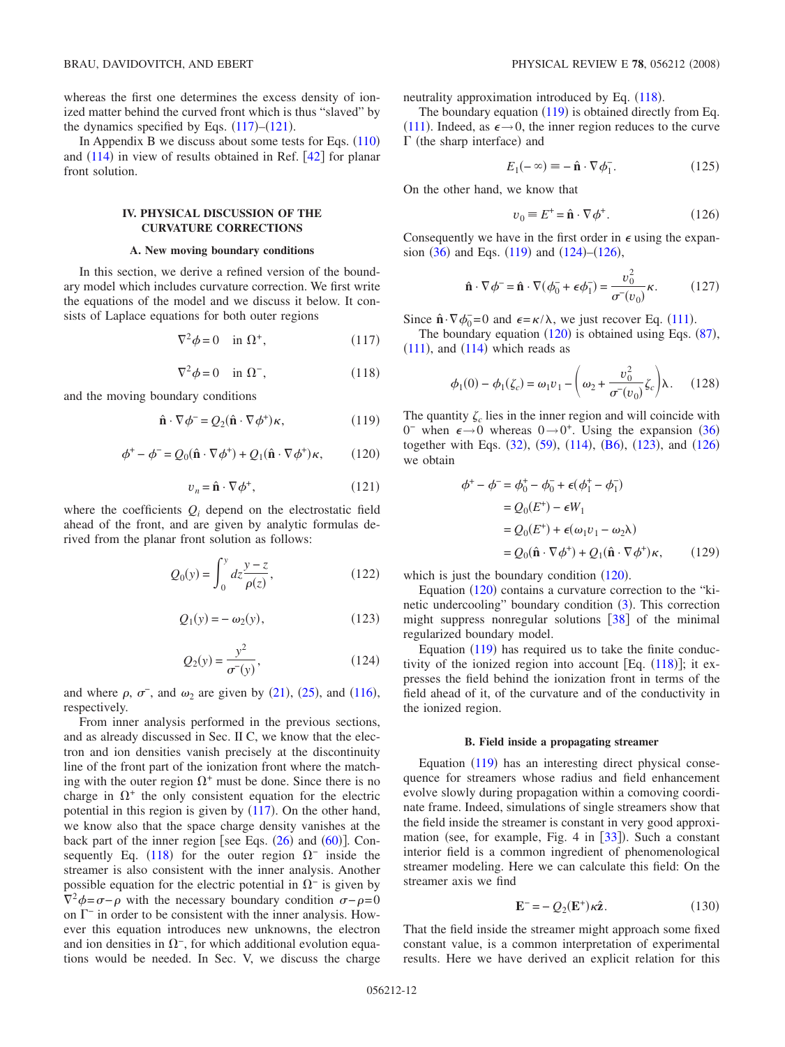whereas the first one determines the excess density of ionized matter behind the curved front which is thus "slaved" by the dynamics specified by Eqs.  $(117)$  $(117)$  $(117)$ – $(121)$  $(121)$  $(121)$ .

In Appendix B we discuss about some tests for Eqs.  $(110)$  $(110)$  $(110)$ and  $(114)$  $(114)$  $(114)$  in view of results obtained in Ref.  $[42]$  $[42]$  $[42]$  for planar front solution.

## **IV. PHYSICAL DISCUSSION OF THE CURVATURE CORRECTIONS**

### **A. New moving boundary conditions**

In this section, we derive a refined version of the boundary model which includes curvature correction. We first write the equations of the model and we discuss it below. It consists of Laplace equations for both outer regions

$$
\nabla^2 \phi = 0 \quad \text{in } \Omega^+, \tag{117}
$$

$$
\nabla^2 \phi = 0 \quad \text{in } \Omega^-, \tag{118}
$$

<span id="page-11-6"></span><span id="page-11-4"></span><span id="page-11-2"></span>and the moving boundary conditions

$$
\hat{\mathbf{n}} \cdot \nabla \phi^- = Q_2(\hat{\mathbf{n}} \cdot \nabla \phi^+) \kappa, \tag{119}
$$

$$
\phi^+ - \phi^- = Q_0(\hat{\mathbf{n}} \cdot \nabla \phi^+) + Q_1(\hat{\mathbf{n}} \cdot \nabla \phi^+) \kappa, \qquad (120)
$$

$$
v_n = \hat{\mathbf{n}} \cdot \nabla \phi^+, \tag{121}
$$

<span id="page-11-5"></span><span id="page-11-3"></span><span id="page-11-0"></span>where the coefficients  $Q_i$  depend on the electrostatic field ahead of the front, and are given by analytic formulas derived from the planar front solution as follows:

$$
Q_0(y) = \int_0^y dz \frac{y - z}{\rho(z)},
$$
\n(122)

$$
Q_1(y) = -\omega_2(y),\tag{123}
$$

$$
Q_2(y) = \frac{y^2}{\sigma^-(y)},
$$
 (124)

<span id="page-11-8"></span><span id="page-11-1"></span>and where  $\rho$ ,  $\sigma^-$ , and  $\omega_2$  are given by ([21](#page-3-5)), ([25](#page-3-11)), and ([116](#page-10-6)), respectively.

From inner analysis performed in the previous sections, and as already discussed in Sec. II C, we know that the electron and ion densities vanish precisely at the discontinuity line of the front part of the ionization front where the matching with the outer region  $\Omega^+$  must be done. Since there is no charge in  $\Omega^+$  the only consistent equation for the electric potential in this region is given by  $(117)$  $(117)$  $(117)$ . On the other hand, we know also that the space charge density vanishes at the back part of the inner region [see Eqs.  $(26)$  $(26)$  $(26)$  and  $(60)$  $(60)$  $(60)$ ]. Con-sequently Eq. ([118](#page-11-6)) for the outer region  $\Omega^-$  inside the streamer is also consistent with the inner analysis. Another possible equation for the electric potential in  $\Omega$ <sup>-</sup> is given by  $\nabla^2 \phi = \sigma - \rho$  with the necessary boundary condition  $\sigma - \rho = 0$ on  $\Gamma^-$  in order to be consistent with the inner analysis. However this equation introduces new unknowns, the electron and ion densities in  $\Omega^-$ , for which additional evolution equations would be needed. In Sec. V, we discuss the charge neutrality approximation introduced by Eq. ([118](#page-11-6)).

The boundary equation  $(119)$  $(119)$  $(119)$  is obtained directly from Eq. ([111](#page-10-2)). Indeed, as  $\epsilon \rightarrow 0$ , the inner region reduces to the curve  $\Gamma$  (the sharp interface) and

$$
E_1(-\infty) \equiv -\hat{\mathbf{n}} \cdot \nabla \phi_1^-. \tag{125}
$$

On the other hand, we know that

$$
v_0 \equiv E^+ = \hat{\mathbf{n}} \cdot \nabla \phi^+.
$$
 (126)

<span id="page-11-7"></span>Consequently we have in the first order in  $\epsilon$  using the expansion  $(36)$  $(36)$  $(36)$  and Eqs.  $(119)$  $(119)$  $(119)$  and  $(124)$  $(124)$  $(124)$ – $(126)$  $(126)$  $(126)$ ,

$$
\hat{\mathbf{n}} \cdot \nabla \phi^- = \hat{\mathbf{n}} \cdot \nabla (\phi_0^- + \epsilon \phi_1^-) = \frac{v_0^2}{\sigma^-(v_0)} \kappa. \quad (127)
$$

Since  $\hat{\mathbf{n}} \cdot \nabla \phi_0^0 = 0$  and  $\epsilon = \kappa / \lambda$ , we just recover Eq. ([111](#page-10-2)).

The boundary equation  $(120)$  $(120)$  $(120)$  is obtained using Eqs.  $(87)$  $(87)$  $(87)$ ,  $(111)$  $(111)$  $(111)$ , and  $(114)$  $(114)$  $(114)$  which reads as

$$
\phi_1(0) - \phi_1(\zeta_c) = \omega_1 v_1 - \left(\omega_2 + \frac{v_0^2}{\sigma^2(v_0)} \zeta_c\right) \lambda. \quad (128)
$$

The quantity  $\zeta_c$  lies in the inner region and will coincide with  $0^-$  when  $\epsilon \rightarrow 0$  whereas  $0 \rightarrow 0^+$ . Using the expansion ([36](#page-4-2)) together with Eqs. ([32](#page-4-6)), ([59](#page-5-8)), ([114](#page-10-4)), ([B6](#page-20-33)), ([123](#page-11-8)), and ([126](#page-11-7)) we obtain

$$
\phi^+ - \phi^- = \phi_0^+ - \phi_0^- + \epsilon(\phi_1^+ - \phi_1^-)
$$
  
=  $Q_0(E^+) - \epsilon W_1$   
=  $Q_0(E^+) + \epsilon(\omega_1 v_1 - \omega_2 \lambda)$   
=  $Q_0(\hat{\mathbf{n}} \cdot \nabla \phi^+) + Q_1(\hat{\mathbf{n}} \cdot \nabla \phi^+) \kappa$ , (129)

which is just the boundary condition  $(120)$  $(120)$  $(120)$ .

Equation ([120](#page-11-5)) contains a curvature correction to the "ki-netic undercooling" boundary condition ([3](#page-1-0)). This correction might suppress nonregular solutions  $\begin{bmatrix} 38 \end{bmatrix}$  $\begin{bmatrix} 38 \end{bmatrix}$  $\begin{bmatrix} 38 \end{bmatrix}$  of the minimal regularized boundary model.

Equation  $(119)$  $(119)$  $(119)$  has required us to take the finite conductivity of the ionized region into account [Eq.  $(118)$  $(118)$  $(118)$ ]; it expresses the field behind the ionization front in terms of the field ahead of it, of the curvature and of the conductivity in the ionized region.

#### **B. Field inside a propagating streamer**

Equation ([119](#page-11-4)) has an interesting direct physical consequence for streamers whose radius and field enhancement evolve slowly during propagation within a comoving coordinate frame. Indeed, simulations of single streamers show that the field inside the streamer is constant in very good approxi-mation (see, for example, Fig. 4 in [[33](#page-20-20)]). Such a constant interior field is a common ingredient of phenomenological streamer modeling. Here we can calculate this field: On the streamer axis we find

$$
\mathbf{E}^- = -Q_2(\mathbf{E}^+) \kappa \hat{\mathbf{z}}.
$$
 (130)

That the field inside the streamer might approach some fixed constant value, is a common interpretation of experimental results. Here we have derived an explicit relation for this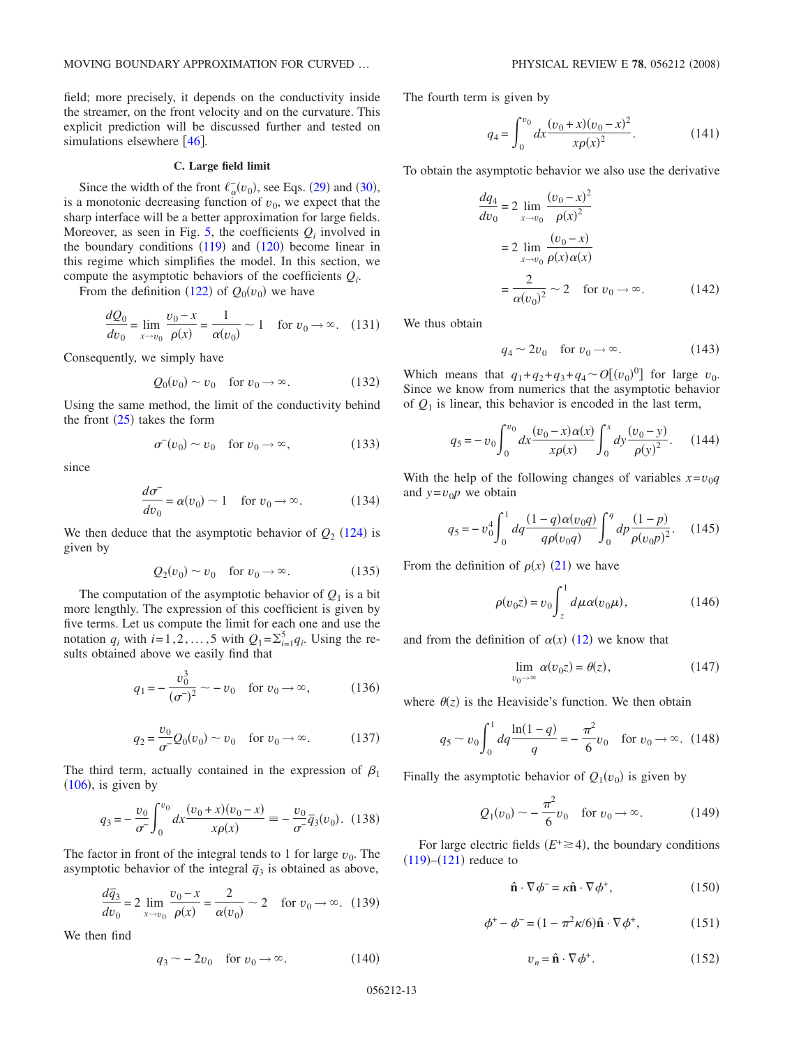field; more precisely, it depends on the conductivity inside the streamer, on the front velocity and on the curvature. This explicit prediction will be discussed further and tested on simulations elsewhere  $[46]$  $[46]$  $[46]$ .

## **C. Large field limit**

Since the width of the front  $\ell_{\alpha}^-(v_0)$ , see Eqs. ([29](#page-3-9)) and ([30](#page-3-0)), is a monotonic decreasing function of  $v_0$ , we expect that the sharp interface will be a better approximation for large fields. Moreover, as seen in Fig.  $5$ , the coefficients  $Q_i$  involved in the boundary conditions  $(119)$  $(119)$  $(119)$  and  $(120)$  $(120)$  $(120)$  become linear in this regime which simplifies the model. In this section, we compute the asymptotic behaviors of the coefficients  $Q_i$ .

From the definition ([122](#page-11-0)) of  $Q_0(v_0)$  we have

$$
\frac{dQ_0}{dv_0} = \lim_{x \to v_0} \frac{v_0 - x}{\rho(x)} = \frac{1}{\alpha(v_0)} \sim 1 \quad \text{for } v_0 \to \infty.
$$
 (131)

Consequently, we simply have

$$
Q_0(v_0) \sim v_0 \quad \text{for } v_0 \to \infty.
$$
 (132)

Using the same method, the limit of the conductivity behind the front  $(25)$  $(25)$  $(25)$  takes the form

$$
\sigma^-(v_0) \sim v_0 \quad \text{for } v_0 \to \infty,
$$
 (133)

since

$$
\frac{d\sigma^{-}}{dv_0} = \alpha(v_0) \sim 1 \quad \text{for } v_0 \to \infty.
$$
 (134)

We then deduce that the asymptotic behavior of  $Q_2$  ([124](#page-11-1)) is given by

$$
Q_2(v_0) \sim v_0 \quad \text{for } v_0 \to \infty. \tag{135}
$$

The computation of the asymptotic behavior of  $Q_1$  is a bit more lengthly. The expression of this coefficient is given by five terms. Let us compute the limit for each one and use the notation  $q_i$  with  $i=1,2,\ldots,5$  with  $Q_1 = \sum_{i=1}^5 q_i$ . Using the results obtained above we easily find that

$$
q_1 = -\frac{v_0^3}{(\sigma^2)^2} \sim -v_0 \quad \text{for } v_0 \to \infty,
$$
 (136)

$$
q_2 = \frac{v_0}{\sigma^2} Q_0(v_0) \sim v_0 \quad \text{for } v_0 \to \infty.
$$
 (137)

The third term, actually contained in the expression of  $\beta_1$  $(106)$  $(106)$  $(106)$ , is given by

$$
q_3 = -\frac{v_0}{\sigma^2} \int_0^{v_0} dx \frac{(v_0 + x)(v_0 - x)}{x \rho(x)} = -\frac{v_0}{\sigma^2} \overline{q}_3(v_0). \tag{138}
$$

The factor in front of the integral tends to 1 for large  $v_0$ . The asymptotic behavior of the integral  $\bar{q}_3$  is obtained as above,

$$
\frac{d\bar{q}_3}{dv_0} = 2 \lim_{x \to v_0} \frac{v_0 - x}{\rho(x)} = \frac{2}{\alpha(v_0)} \sim 2 \quad \text{for } v_0 \to \infty. \tag{139}
$$

We then find

$$
q_3 \sim -2v_0 \quad \text{for } v_0 \to \infty. \tag{140}
$$

The fourth term is given by

$$
q_4 = \int_0^{v_0} dx \frac{(v_0 + x)(v_0 - x)^2}{x \rho(x)^2}.
$$
 (141)

To obtain the asymptotic behavior we also use the derivative

$$
\frac{dq_4}{dv_0} = 2 \lim_{x \to v_0} \frac{(v_0 - x)^2}{\rho(x)^2}
$$
  
= 2 \lim\_{x \to v\_0} \frac{(v\_0 - x)}{\rho(x)\alpha(x)}  
= \frac{2}{\alpha(v\_0)^2} \sim 2 \text{ for } v\_0 \to \infty. (142)

We thus obtain

$$
q_4 \sim 2v_0 \quad \text{for } v_0 \to \infty. \tag{143}
$$

Which means that  $q_1 + q_2 + q_3 + q_4 \sim O[(v_0)^0]$  for large  $v_0$ . Since we know from numerics that the asymptotic behavior of  $Q_1$  is linear, this behavior is encoded in the last term,

$$
q_5 = -v_0 \int_0^{v_0} dx \frac{(v_0 - x)\alpha(x)}{x\rho(x)} \int_0^x dy \frac{(v_0 - y)}{\rho(y)^2}.
$$
 (144)

With the help of the following changes of variables  $x = v_0q$ and  $y = v_0 p$  we obtain

$$
q_5 = -v_0^4 \int_0^1 dq \frac{(1-q)\alpha(v_0q)}{q\rho(v_0q)} \int_0^q dp \frac{(1-p)}{\rho(v_0p)^2}.
$$
 (145)

From the definition of  $\rho(x)$  ([21](#page-3-5)) we have

$$
\rho(v_0 z) = v_0 \int_z^1 d\mu \alpha(v_0 \mu), \qquad (146)
$$

and from the definition of  $\alpha(x)$  ([12](#page-2-3)) we know that

$$
\lim_{v_0 \to \infty} \alpha(v_0 z) = \theta(z), \tag{147}
$$

where  $\theta(z)$  is the Heaviside's function. We then obtain

$$
q_5 \sim v_0 \int_0^1 dq \frac{\ln(1-q)}{q} = -\frac{\pi^2}{6} v_0 \quad \text{for } v_0 \to \infty. \tag{148}
$$

Finally the asymptotic behavior of  $Q_1(v_0)$  is given by

$$
Q_1(v_0) \sim -\frac{\pi^2}{6}v_0 \quad \text{for } v_0 \to \infty.
$$
 (149)

For large electric fields  $(E^+ \ge 4)$ , the boundary conditions  $(119)$  $(119)$  $(119)$ – $(121)$  $(121)$  $(121)$  reduce to

$$
\hat{\mathbf{n}} \cdot \nabla \phi^- = \kappa \hat{\mathbf{n}} \cdot \nabla \phi^+, \tag{150}
$$

$$
\phi^+ - \phi^- = (1 - \pi^2 \kappa / 6) \hat{\mathbf{n}} \cdot \nabla \phi^+, \tag{151}
$$

$$
v_n = \hat{\mathbf{n}} \cdot \nabla \phi^+.
$$
 (152)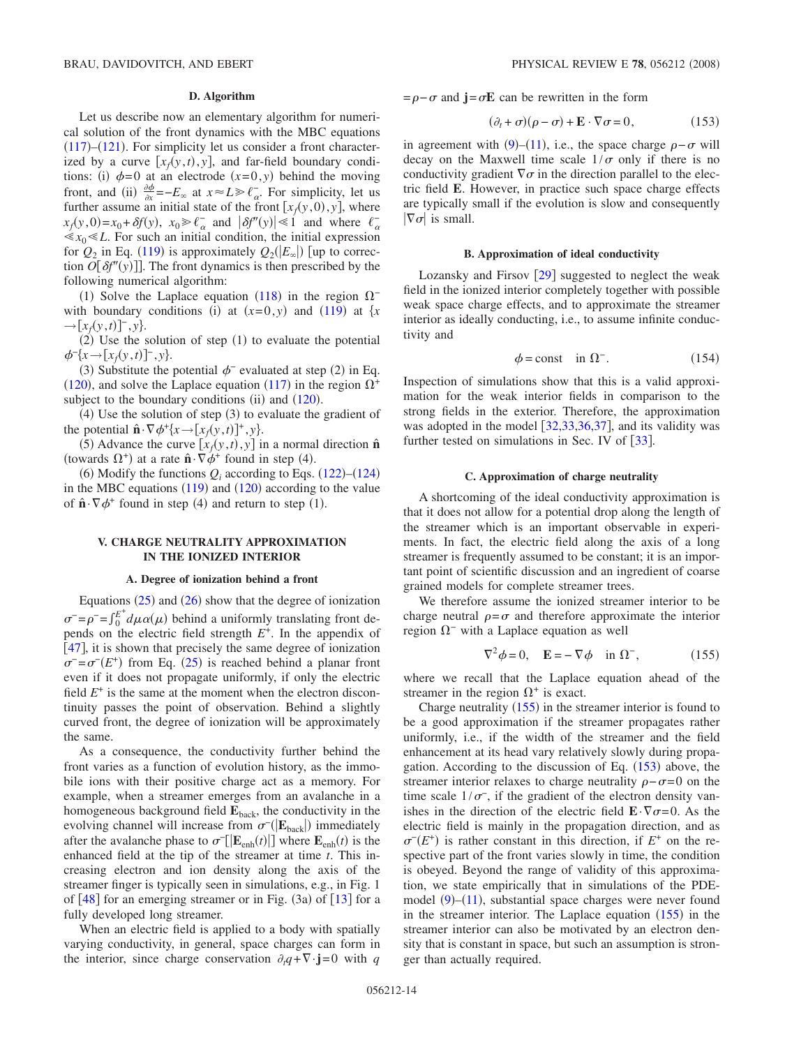### **D. Algorithm**

Let us describe now an elementary algorithm for numerical solution of the front dynamics with the MBC equations  $(117)$  $(117)$  $(117)$ – $(121)$  $(121)$  $(121)$ . For simplicity let us consider a front characterized by a curve  $[x_f(y, t), y]$ , and far-field boundary conditions: (i)  $\phi = 0$  at an electrode  $(x=0, y)$  behind the moving front, and (ii)  $\frac{\partial \phi}{\partial x} = -E_{\infty}$  at  $x \approx L \ge \ell_{\alpha}$ . For simplicity, let us further assume an initial state of the front  $[x_f(y, 0), y]$ , where  $x_f(y, 0) = x_0 + \delta f(y), \ x_0 \ge \ell_\alpha^-$  and  $|\delta f''(y)| \le 1$  and where  $\ell_\alpha^ \ll x_0 \ll L$ . For such an initial condition, the initial expression for  $Q_2$  in Eq. ([119](#page-11-4)) is approximately  $Q_2(|E_{\infty}|)$  [up to correction  $O[\delta f''(y)]$ . The front dynamics is then prescribed by the following numerical algorithm:

(1) Solve the Laplace equation ([118](#page-11-6)) in the region  $\Omega$ <sup>-</sup> with boundary conditions (i) at  $(x=0, y)$  and ([119](#page-11-4)) at  $\{x \}$  $\rightarrow [x_f(y, t)]^-, y$ .

 $(2)$  Use the solution of step  $(1)$  to evaluate the potential  $\phi^{-}\{x\rightarrow [x_f(y,t)]^-, y\}.$ 

(3) Substitute the potential  $\phi^-$  evaluated at step (2) in Eq. ([120](#page-11-5)), and solve the Laplace equation ([117](#page-11-2)) in the region  $\Omega^+$ subject to the boundary conditions (ii) and  $(120)$  $(120)$  $(120)$ .

 $(4)$  Use the solution of step  $(3)$  to evaluate the gradient of the potential  $\hat{\mathbf{n}} \cdot \nabla \phi^+ \{x \rightarrow [x_f(y, t)]^+, y\}.$ 

(5) Advance the curve  $[x_f(y, t), y]$  in a normal direction  $\hat{\mathbf{n}}$ (towards  $\Omega^+$ ) at a rate  $\hat{\mathbf{n}} \cdot \nabla \phi^+$  found in step (4).

(6) Modify the functions  $Q_i$  according to Eqs. ([122](#page-11-0))–([124](#page-11-1)) in the MBC equations  $(119)$  $(119)$  $(119)$  and  $(120)$  $(120)$  $(120)$  according to the value of  $\hat{\mathbf{n}} \cdot \nabla \phi^+$  found in step (4) and return to step (1).

## **V. CHARGE NEUTRALITY APPROXIMATION IN THE IONIZED INTERIOR**

### **A. Degree of ionization behind a front**

Equations  $(25)$  $(25)$  $(25)$  and  $(26)$  $(26)$  $(26)$  show that the degree of ionization  $\sigma^2 = \rho^2 = \int_0^{E^+} d\mu \alpha(\mu)$  behind a uniformly translating front depends on the electric field strength *E*+. In the appendix of [[47](#page-20-35)], it is shown that precisely the same degree of ionization  $\sigma^- = \sigma^-(E^+)$  from Eq. ([25](#page-3-11)) is reached behind a planar front even if it does not propagate uniformly, if only the electric field  $E^+$  is the same at the moment when the electron discontinuity passes the point of observation. Behind a slightly curved front, the degree of ionization will be approximately the same.

As a consequence, the conductivity further behind the front varies as a function of evolution history, as the immobile ions with their positive charge act as a memory. For example, when a streamer emerges from an avalanche in a homogeneous background field  $\mathbf{E}_{\text{back}}$ , the conductivity in the evolving channel will increase from  $\sigma$ <sup>-</sup>(|**E**<sub>back</sub>|) immediately after the avalanche phase to  $\sigma$ <sup>-</sup>[ $|\mathbf{E}_{\text{enh}}(t)|$ ] where  $\mathbf{E}_{\text{enh}}(t)$  is the enhanced field at the tip of the streamer at time *t*. This increasing electron and ion density along the axis of the streamer finger is typically seen in simulations, e.g., in Fig. 1 of  $[48]$  $[48]$  $[48]$  for an emerging streamer or in Fig. (3a) of  $[13]$  $[13]$  $[13]$  for a fully developed long streamer.

When an electric field is applied to a body with spatially varying conductivity, in general, space charges can form in the interior, since charge conservation  $\partial_t q + \nabla \cdot \mathbf{j} = 0$  with *q* 

 $= \rho - \sigma$  and  $\mathbf{j} = \sigma \mathbf{E}$  can be rewritten in the form

$$
(\partial_t + \sigma)(\rho - \sigma) + \mathbf{E} \cdot \nabla \sigma = 0, \qquad (153)
$$

<span id="page-13-1"></span>in agreement with  $(9)$  $(9)$  $(9)$ – $(11)$  $(11)$  $(11)$ , i.e., the space charge  $\rho - \sigma$  will decay on the Maxwell time scale  $1/\sigma$  only if there is no conductivity gradient  $\nabla \sigma$  in the direction parallel to the electric field **E**. However, in practice such space charge effects are typically small if the evolution is slow and consequently  $|\nabla\sigma|$  is small.

### **B. Approximation of ideal conductivity**

Lozansky and Firsov  $[29]$  $[29]$  $[29]$  suggested to neglect the weak field in the ionized interior completely together with possible weak space charge effects, and to approximate the streamer interior as ideally conducting, i.e., to assume infinite conductivity and

$$
\phi = \text{const} \quad \text{in } \Omega^-.
$$
\n(154)

Inspection of simulations show that this is a valid approximation for the weak interior fields in comparison to the strong fields in the exterior. Therefore, the approximation was adopted in the model  $[32,33,36,37]$  $[32,33,36,37]$  $[32,33,36,37]$  $[32,33,36,37]$  $[32,33,36,37]$  $[32,33,36,37]$ , and its validity was further tested on simulations in Sec. IV of  $\lceil 33 \rceil$  $\lceil 33 \rceil$  $\lceil 33 \rceil$ .

### **C. Approximation of charge neutrality**

A shortcoming of the ideal conductivity approximation is that it does not allow for a potential drop along the length of the streamer which is an important observable in experiments. In fact, the electric field along the axis of a long streamer is frequently assumed to be constant; it is an important point of scientific discussion and an ingredient of coarse grained models for complete streamer trees.

We therefore assume the ionized streamer interior to be charge neutral  $\rho = \sigma$  and therefore approximate the interior region  $\Omega^-$  with a Laplace equation as well

$$
\nabla^2 \phi = 0, \quad \mathbf{E} = -\nabla \phi \quad \text{in } \Omega^-, \tag{155}
$$

<span id="page-13-0"></span>where we recall that the Laplace equation ahead of the streamer in the region  $\Omega^+$  is exact.

Charge neutrality  $(155)$  $(155)$  $(155)$  in the streamer interior is found to be a good approximation if the streamer propagates rather uniformly, i.e., if the width of the streamer and the field enhancement at its head vary relatively slowly during propagation. According to the discussion of Eq.  $(153)$  $(153)$  $(153)$  above, the streamer interior relaxes to charge neutrality  $\rho - \sigma = 0$  on the time scale  $1/\sigma^-$ , if the gradient of the electron density vanishes in the direction of the electric field  $\mathbf{E} \cdot \nabla \sigma = 0$ . As the electric field is mainly in the propagation direction, and as  $\sigma^{-}(E^{+})$  is rather constant in this direction, if  $E^{+}$  on the respective part of the front varies slowly in time, the condition is obeyed. Beyond the range of validity of this approximation, we state empirically that in simulations of the PDE-model ([9](#page-2-0))–([11](#page-2-1)), substantial space charges were never found in the streamer interior. The Laplace equation  $(155)$  $(155)$  $(155)$  in the streamer interior can also be motivated by an electron density that is constant in space, but such an assumption is stronger than actually required.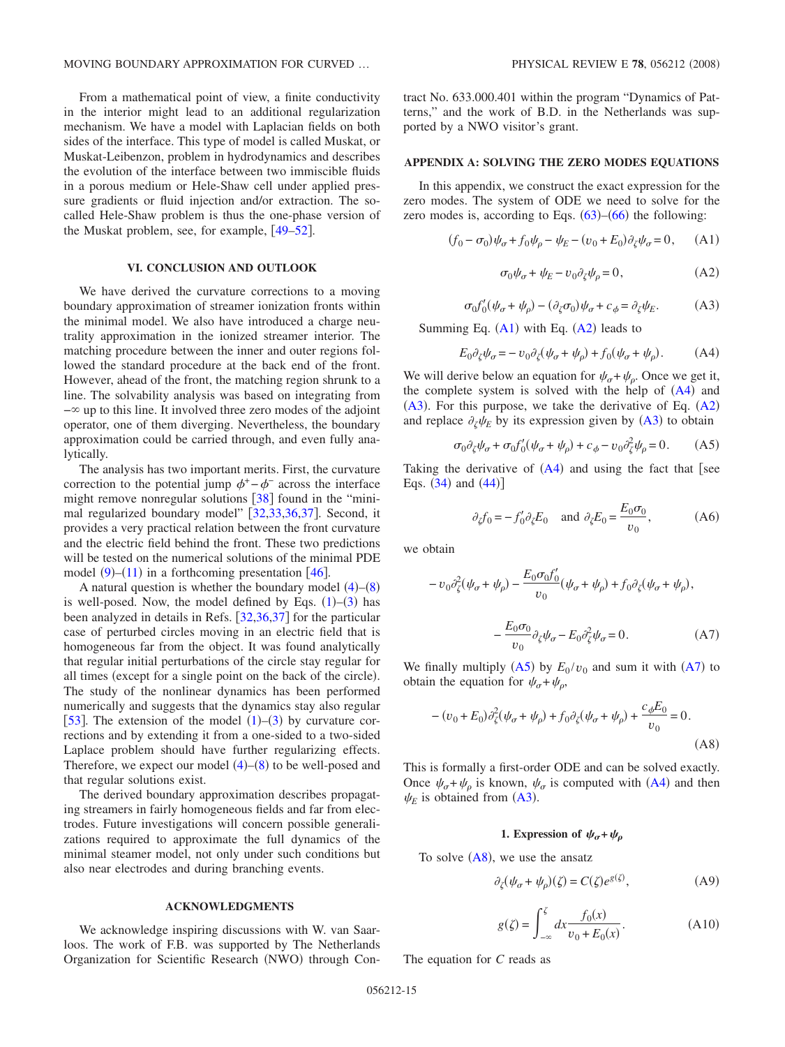From a mathematical point of view, a finite conductivity in the interior might lead to an additional regularization mechanism. We have a model with Laplacian fields on both sides of the interface. This type of model is called Muskat, or Muskat-Leibenzon, problem in hydrodynamics and describes the evolution of the interface between two immiscible fluids in a porous medium or Hele-Shaw cell under applied pressure gradients or fluid injection and/or extraction. The socalled Hele-Shaw problem is thus the one-phase version of the Muskat problem, see, for example,  $[49-52]$  $[49-52]$  $[49-52]$ .

## **VI. CONCLUSION AND OUTLOOK**

We have derived the curvature corrections to a moving boundary approximation of streamer ionization fronts within the minimal model. We also have introduced a charge neutrality approximation in the ionized streamer interior. The matching procedure between the inner and outer regions followed the standard procedure at the back end of the front. However, ahead of the front, the matching region shrunk to a line. The solvability analysis was based on integrating from  $-\infty$  up to this line. It involved three zero modes of the adjoint operator, one of them diverging. Nevertheless, the boundary approximation could be carried through, and even fully analytically.

The analysis has two important merits. First, the curvature correction to the potential jump  $\phi^+$  – $\phi^-$  across the interface might remove nonregular solutions  $\lceil 38 \rceil$  $\lceil 38 \rceil$  $\lceil 38 \rceil$  found in the "mini-mal regularized boundary model" [[32,](#page-20-19)[33,](#page-20-20)[36,](#page-20-23)[37](#page-20-24)]. Second, it provides a very practical relation between the front curvature and the electric field behind the front. These two predictions will be tested on the numerical solutions of the minimal PDE model  $(9)$  $(9)$  $(9)$ – $(11)$  $(11)$  $(11)$  in a forthcoming presentation [[46](#page-20-34)].

A natural question is whether the boundary model  $(4)$  $(4)$  $(4)$ – $(8)$  $(8)$  $(8)$ is well-posed. Now, the model defined by Eqs.  $(1)$  $(1)$  $(1)$ – $(3)$  $(3)$  $(3)$  has been analyzed in details in Refs.  $[32,36,37]$  $[32,36,37]$  $[32,36,37]$  $[32,36,37]$  $[32,36,37]$  for the particular case of perturbed circles moving in an electric field that is homogeneous far from the object. It was found analytically that regular initial perturbations of the circle stay regular for all times (except for a single point on the back of the circle). The study of the nonlinear dynamics has been performed numerically and suggests that the dynamics stay also regular [[53](#page-20-39)]. The extension of the model  $(1)$  $(1)$  $(1)$ – $(3)$  $(3)$  $(3)$  by curvature corrections and by extending it from a one-sided to a two-sided Laplace problem should have further regularizing effects. Therefore, we expect our model  $(4)$  $(4)$  $(4)$ – $(8)$  $(8)$  $(8)$  to be well-posed and that regular solutions exist.

The derived boundary approximation describes propagating streamers in fairly homogeneous fields and far from electrodes. Future investigations will concern possible generalizations required to approximate the full dynamics of the minimal steamer model, not only under such conditions but also near electrodes and during branching events.

### **ACKNOWLEDGMENTS**

We acknowledge inspiring discussions with W. van Saarloos. The work of F.B. was supported by The Netherlands Organization for Scientific Research (NWO) through Contract No. 633.000.401 within the program "Dynamics of Patterns," and the work of B.D. in the Netherlands was supported by a NWO visitor's grant.

## **APPENDIX A: SOLVING THE ZERO MODES EQUATIONS**

In this appendix, we construct the exact expression for the zero modes. The system of ODE we need to solve for the zero modes is, according to Eqs.  $(63)$  $(63)$  $(63)$ – $(66)$  $(66)$  $(66)$  the following:

<span id="page-14-0"></span>
$$
(f_0 - \sigma_0)\psi_\sigma + f_0\psi_\rho - \psi_E - (v_0 + E_0)\partial_\zeta\psi_\sigma = 0, \quad \text{(A1)}
$$

$$
\sigma_0 \psi_\sigma + \psi_E - v_0 \partial_\zeta \psi_\rho = 0,\tag{A2}
$$

$$
\sigma_0 f_0'(\psi_\sigma + \psi_\rho) - (\partial_\zeta \sigma_0) \psi_\sigma + c_\phi = \partial_\zeta \psi_E. \tag{A3}
$$

<span id="page-14-3"></span><span id="page-14-1"></span>Summing Eq.  $(A1)$  $(A1)$  $(A1)$  with Eq.  $(A2)$  $(A2)$  $(A2)$  leads to

$$
E_0 \partial_{\zeta} \psi_{\sigma} = -v_0 \partial_{\zeta} (\psi_{\sigma} + \psi_{\rho}) + f_0 (\psi_{\sigma} + \psi_{\rho}). \tag{A4}
$$

<span id="page-14-2"></span>We will derive below an equation for  $\psi_{\sigma} + \psi_{\rho}$ . Once we get it, the complete system is solved with the help of  $(A4)$  $(A4)$  $(A4)$  and  $(A3)$  $(A3)$  $(A3)$ . For this purpose, we take the derivative of Eq.  $(A2)$  $(A2)$  $(A2)$ and replace  $\partial_{\zeta} \psi_E$  by its expression given by ([A3](#page-14-3)) to obtain

$$
\sigma_0 \partial_{\zeta} \psi_{\sigma} + \sigma_0 f'_0 (\psi_{\sigma} + \psi_{\rho}) + c_{\phi} - v_0 \partial_{\zeta}^2 \psi_{\rho} = 0. \tag{A5}
$$

<span id="page-14-4"></span>Taking the derivative of  $(A4)$  $(A4)$  $(A4)$  and using the fact that [see Eqs.  $(34)$  $(34)$  $(34)$  and  $(44)$  $(44)$  $(44)$ ]

$$
\partial_{\zeta} f_0 = -f'_0 \partial_{\zeta} E_0
$$
 and  $\partial_{\zeta} E_0 = \frac{E_0 \sigma_0}{v_0}$ , (A6)

we obtain

<span id="page-14-5"></span>
$$
-v_0 \partial_{\zeta}^2 (\psi_{\sigma} + \psi_{\rho}) - \frac{E_0 \sigma_0 f_0'}{v_0} (\psi_{\sigma} + \psi_{\rho}) + f_0 \partial_{\zeta} (\psi_{\sigma} + \psi_{\rho}),
$$

$$
-\frac{E_0 \sigma_0}{v_0} \partial_{\zeta} \psi_{\sigma} - E_0 \partial_{\zeta}^2 \psi_{\sigma} = 0.
$$
(A7)

We finally multiply  $(A5)$  $(A5)$  $(A5)$  by  $E_0/v_0$  and sum it with  $(A7)$  $(A7)$  $(A7)$  to obtain the equation for  $\psi_{\sigma} + \psi_{\rho}$ ,

<span id="page-14-6"></span>
$$
-(v_0 + E_0)\partial_{\zeta}^2(\psi_{\sigma} + \psi_{\rho}) + f_0 \partial_{\zeta}(\psi_{\sigma} + \psi_{\rho}) + \frac{c_{\phi}E_0}{v_0} = 0.
$$
 (A8)

This is formally a first-order ODE and can be solved exactly. Once  $\psi_{\sigma} + \psi_{\rho}$  is known,  $\psi_{\sigma}$  is computed with ([A4](#page-14-2)) and then  $\psi_E$  is obtained from ([A3](#page-14-3)).

## **1.** Expression of  $\psi_{\sigma} + \psi_{\sigma}$

To solve  $(A8)$  $(A8)$  $(A8)$ , we use the ansatz

$$
\partial_{\zeta}(\psi_{\sigma} + \psi_{\rho})(\zeta) = C(\zeta)e^{g(\zeta)},\tag{A9}
$$

$$
g(\zeta) = \int_{-\infty}^{\zeta} dx \frac{f_0(x)}{v_0 + E_0(x)}.
$$
 (A10)

<span id="page-14-7"></span>The equation for *C* reads as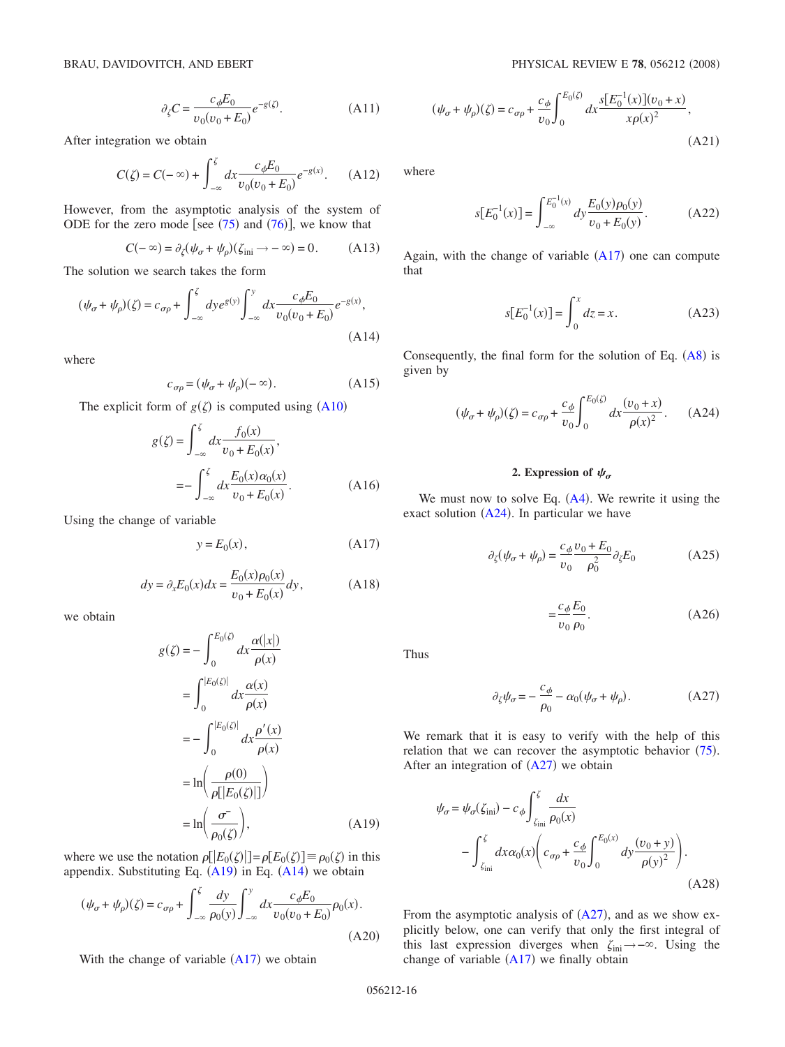$$
\partial_{\zeta} C = \frac{c_{\phi} E_0}{v_0 (v_0 + E_0)} e^{-g(\zeta)}.
$$
 (A11)

<span id="page-15-2"></span>After integration we obtain

$$
C(\zeta) = C(-\infty) + \int_{-\infty}^{\zeta} dx \frac{c_{\phi} E_0}{v_0(v_0 + E_0)} e^{-g(x)}.
$$
 (A12)

<span id="page-15-0"></span>However, from the asymptotic analysis of the system of ODE for the zero mode [see  $(75)$  $(75)$  $(75)$  and  $(76)$  $(76)$  $(76)$ ], we know that

$$
C(-\infty) = \partial_{\zeta} (\psi_{\sigma} + \psi_{\rho})(\zeta_{\text{ini}} \to -\infty) = 0. \quad (A13)
$$

The solution we search takes the form

<span id="page-15-3"></span>
$$
(\psi_{\sigma} + \psi_{\rho})(\zeta) = c_{\sigma\rho} + \int_{-\infty}^{\zeta} dy e^{g(y)} \int_{-\infty}^{y} dx \frac{c_{\phi} E_0}{v_0(v_0 + E_0)} e^{-g(x)},
$$
\n(A14)

where

$$
c_{\sigma\rho} = (\psi_{\sigma} + \psi_{\rho})(-\infty). \tag{A15}
$$

The explicit form of  $g(\zeta)$  is computed using ([A10](#page-14-7))

$$
g(\zeta) = \int_{-\infty}^{\zeta} dx \frac{f_0(x)}{v_0 + E_0(x)},
$$
  
= 
$$
- \int_{-\infty}^{\zeta} dx \frac{E_0(x)\alpha_0(x)}{v_0 + E_0(x)}.
$$
 (A16)

<span id="page-15-4"></span>Using the change of variable

$$
y = E_0(x), \tag{A17}
$$

$$
dy = \partial_x E_0(x) dx = \frac{E_0(x)\rho_0(x)}{v_0 + E_0(x)} dy,
$$
 (A18)

we obtain

$$
g(\zeta) = -\int_0^{E_0(\zeta)} dx \frac{\alpha(|x|)}{\rho(x)}
$$
  
= 
$$
\int_0^{|E_0(\zeta)|} dx \frac{\alpha(x)}{\rho(x)}
$$
  
= 
$$
-\int_0^{|E_0(\zeta)|} dx \frac{\rho'(x)}{\rho(x)}
$$
  
= 
$$
\ln\left(\frac{\rho(0)}{\rho[|E_0(\zeta)|]}\right)
$$
  
= 
$$
\ln\left(\frac{\sigma^-}{\rho_0(\zeta)}\right),
$$
 (A19)

where we use the notation  $\rho[[E_0(\zeta)]] = \rho[E_0(\zeta)] \equiv \rho_0(\zeta)$  in this appendix. Substituting Eq.  $(A19)$  $(A19)$  $(A19)$  in Eq.  $(A14)$  $(A14)$  $(A14)$  we obtain

$$
(\psi_{\sigma} + \psi_{\rho})(\zeta) = c_{\sigma\rho} + \int_{-\infty}^{\zeta} \frac{dy}{\rho_0(y)} \int_{-\infty}^{y} dx \frac{c_{\phi} E_0}{v_0(v_0 + E_0)} \rho_0(x).
$$
(A20)

With the change of variable  $(A17)$  $(A17)$  $(A17)$  we obtain

$$
(\psi_{\sigma} + \psi_{\rho})(\zeta) = c_{\sigma\rho} + \frac{c_{\phi}}{v_0} \int_0^{E_0(\zeta)} dx \frac{s[E_0^{-1}(x)](v_0 + x)}{x \rho(x)^2},
$$
\n(A21)

where

$$
s[E_0^{-1}(x)] = \int_{-\infty}^{E_0^{-1}(x)} dy \frac{E_0(y)\rho_0(y)}{v_0 + E_0(y)}.
$$
 (A22)

Again, with the change of variable  $(A17)$  $(A17)$  $(A17)$  one can compute that

$$
s[E_0^{-1}(x)] = \int_0^x dz = x.
$$
 (A23)

Consequently, the final form for the solution of Eq.  $(A8)$  $(A8)$  $(A8)$  is given by

<span id="page-15-1"></span>
$$
(\psi_{\sigma} + \psi_{\rho})(\zeta) = c_{\sigma\rho} + \frac{c_{\phi}}{v_0} \int_0^{E_0(\zeta)} dx \frac{(v_0 + x)}{\rho(x)^2}.
$$
 (A24)

## 2. Expression of  $\psi_{\sigma}$

We must now to solve Eq.  $(A4)$  $(A4)$  $(A4)$ . We rewrite it using the exact solution  $(A24)$  $(A24)$  $(A24)$ . In particular we have

$$
\partial_{\zeta}(\psi_{\sigma} + \psi_{\rho}) = \frac{c_{\phi}v_0 + E_0}{v_0 \rho_0^2} \partial_{\zeta} E_0
$$
 (A25)

$$
=\frac{c_{\phi}E_0}{v_0 \rho_0}.\tag{A26}
$$

Thus

$$
\partial_{\zeta}\psi_{\sigma} = -\frac{c_{\phi}}{\rho_0} - \alpha_0(\psi_{\sigma} + \psi_{\rho}). \tag{A27}
$$

<span id="page-15-5"></span>We remark that it is easy to verify with the help of this relation that we can recover the asymptotic behavior  $(75)$  $(75)$  $(75)$ . After an integration of  $(A27)$  $(A27)$  $(A27)$  we obtain

$$
\psi_{\sigma} = \psi_{\sigma}(\zeta_{\text{ini}}) - c_{\phi} \int_{\zeta_{\text{ini}}}^{\zeta} \frac{dx}{\rho_0(x)}
$$

$$
- \int_{\zeta_{\text{ini}}}^{\zeta} dx \alpha_0(x) \left( c_{\sigma \rho} + \frac{c_{\phi}}{v_0} \int_{0}^{E_0(x)} dy \frac{(v_0 + y)}{\rho(y)^2} \right). \tag{A28}
$$

From the asymptotic analysis of  $(A27)$  $(A27)$  $(A27)$ , and as we show explicitly below, one can verify that only the first integral of this last expression diverges when  $\zeta_{\text{ini}} \rightarrow -\infty$ . Using the change of variable  $(A17)$  $(A17)$  $(A17)$  we finally obtain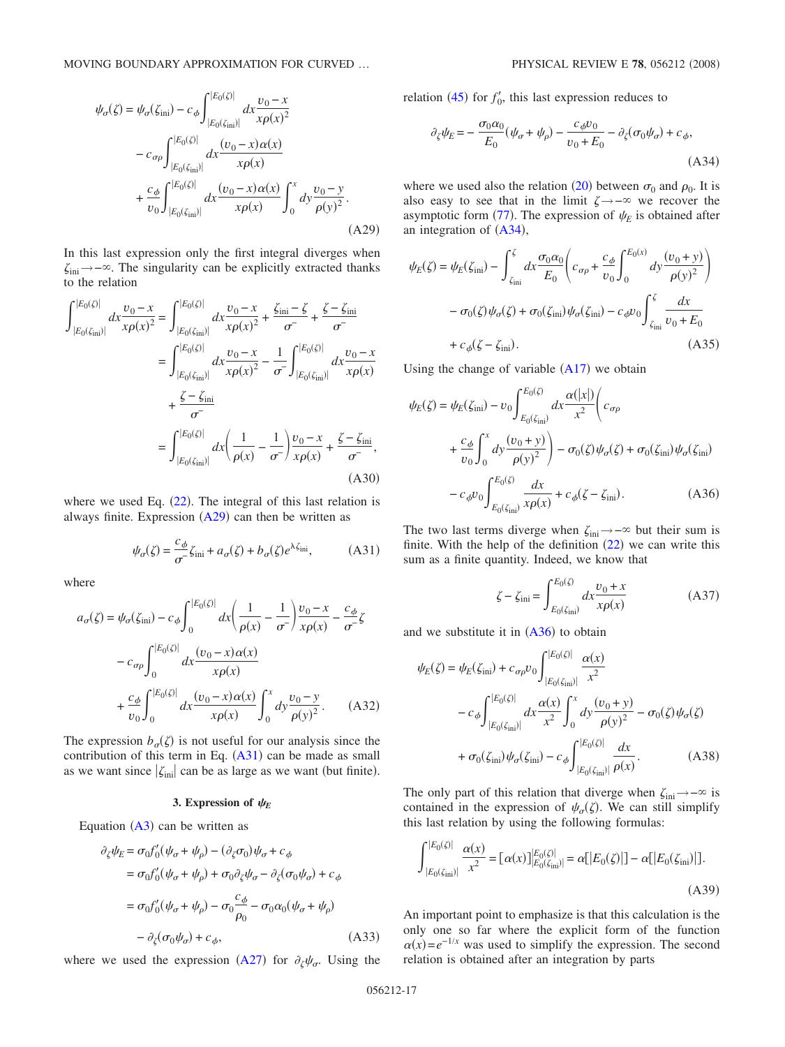<span id="page-16-0"></span>
$$
\psi_{\sigma}(\zeta) = \psi_{\sigma}(\zeta_{\text{ini}}) - c_{\phi} \int_{|E_{0}(\zeta_{\text{ini}})|}^{|E_{0}(\zeta)|} dx \frac{v_{0} - x}{x \rho(x)^{2}}
$$

$$
- c_{\sigma \rho} \int_{|E_{0}(\zeta_{\text{ini}})|}^{|E_{0}(\zeta)|} dx \frac{(v_{0} - x) \alpha(x)}{x \rho(x)}
$$

$$
+ \frac{c_{\phi}}{v_{0}} \int_{|E_{0}(\zeta_{\text{ini}})|}^{|E_{0}(\zeta)|} dx \frac{(v_{0} - x) \alpha(x)}{x \rho(x)} \int_{0}^{x} dy \frac{v_{0} - y}{\rho(y)^{2}}.
$$
(A29)

In this last expression only the first integral diverges when  $\zeta_{\text{ini}} \rightarrow -\infty$ . The singularity can be explicitly extracted thanks to the relation

<span id="page-16-5"></span>
$$
\int_{|E_{0}(\zeta_{\text{ini}})|}^{|E_{0}(\zeta)|} dx \frac{v_{0} - x}{x \rho(x)^{2}} = \int_{|E_{0}(\zeta_{\text{ini}})|}^{|E_{0}(\zeta)|} dx \frac{v_{0} - x}{x \rho(x)^{2}} + \frac{\zeta_{\text{ini}} - \zeta}{\sigma^{2}} + \frac{\zeta - \zeta_{\text{ini}}}{\sigma^{2}}
$$

$$
= \int_{|E_{0}(\zeta_{\text{ini}})|}^{|E_{0}(\zeta)|} dx \frac{v_{0} - x}{x \rho(x)^{2}} - \frac{1}{\sigma^{2}} \int_{|E_{0}(\zeta_{\text{ini}})|}^{|E_{0}(\zeta)|} dx \frac{v_{0} - x}{x \rho(x)}
$$

$$
+ \frac{\zeta - \zeta_{\text{ini}}}{\sigma^{2}}
$$

$$
= \int_{|E_{0}(\zeta_{\text{ini}})|}^{|E_{0}(\zeta)|} dx \left(\frac{1}{\rho(x)} - \frac{1}{\sigma^{2}}\right) \frac{v_{0} - x}{x \rho(x)} + \frac{\zeta - \zeta_{\text{ini}}}{\sigma^{2}},
$$
(A30)

where we used Eq.  $(22)$  $(22)$  $(22)$ . The integral of this last relation is always finite. Expression  $(A29)$  $(A29)$  $(A29)$  can then be written as

$$
\psi_{\sigma}(\zeta) = \frac{c_{\phi}}{\sigma} \zeta_{\text{ini}} + a_{\sigma}(\zeta) + b_{\sigma}(\zeta) e^{\lambda \zeta_{\text{ini}}}, \tag{A31}
$$

<span id="page-16-2"></span>where

<span id="page-16-1"></span>
$$
a_{\sigma}(\zeta) = \psi_{\sigma}(\zeta_{\text{ini}}) - c_{\phi} \int_{0}^{|E_{0}(\zeta)|} dx \left( \frac{1}{\rho(x)} - \frac{1}{\sigma^{-}} \right) \frac{v_{0} - x}{x \rho(x)} - \frac{c_{\phi}}{\sigma^{-}} \zeta
$$

$$
- c_{\sigma \rho} \int_{0}^{|E_{0}(\zeta)|} dx \frac{(v_{0} - x) \alpha(x)}{x \rho(x)}
$$

$$
+ \frac{c_{\phi}}{v_{0}} \int_{0}^{|E_{0}(\zeta)|} dx \frac{(v_{0} - x) \alpha(x)}{x \rho(x)} \int_{0}^{x} dy \frac{v_{0} - y}{\rho(y)^{2}}. \tag{A32}
$$

The expression  $b_{\sigma}(\zeta)$  is not useful for our analysis since the contribution of this term in Eq.  $(A31)$  $(A31)$  $(A31)$  can be made as small as we want since  $|\zeta_{\text{ini}}|$  can be as large as we want (but finite).

### **3. Expression of**  $\psi_E$

Equation  $(A3)$  $(A3)$  $(A3)$  can be written as

$$
\partial_{\zeta}\psi_E = \sigma_0 f'_0(\psi_{\sigma} + \psi_{\rho}) - (\partial_{\zeta}\sigma_0)\psi_{\sigma} + c_{\phi}
$$
  
\n
$$
= \sigma_0 f'_0(\psi_{\sigma} + \psi_{\rho}) + \sigma_0 \partial_{\zeta}\psi_{\sigma} - \partial_{\zeta}(\sigma_0\psi_{\sigma}) + c_{\phi}
$$
  
\n
$$
= \sigma_0 f'_0(\psi_{\sigma} + \psi_{\rho}) - \sigma_0 \frac{c_{\phi}}{\rho_0} - \sigma_0 \alpha_0(\psi_{\sigma} + \psi_{\rho})
$$
  
\n
$$
- \partial_{\zeta}(\sigma_0\psi_{\sigma}) + c_{\phi},
$$
 (A33)

where we used the expression ([A27](#page-15-5)) for  $\partial_{\zeta}\psi_{\sigma}$ . Using the

relation  $(45)$  $(45)$  $(45)$  for  $f'_0$ , this last expression reduces to

<span id="page-16-3"></span>
$$
\partial_{\zeta}\psi_E = -\frac{\sigma_0 \alpha_0}{E_0} (\psi_\sigma + \psi_\rho) - \frac{c_\phi v_0}{v_0 + E_0} - \partial_{\zeta}(\sigma_0 \psi_\sigma) + c_\phi,
$$
\n(A34)

where we used also the relation ([20](#page-3-6)) between  $\sigma_0$  and  $\rho_0$ . It is also easy to see that in the limit  $\zeta \rightarrow -\infty$  we recover the asymptotic form  $(77)$  $(77)$  $(77)$ . The expression of  $\psi_E$  is obtained after an integration of  $(A34)$  $(A34)$  $(A34)$ ,

$$
\psi_E(\zeta) = \psi_E(\zeta_{\text{ini}}) - \int_{\zeta_{\text{ini}}}^{\zeta} dx \frac{\sigma_0 \alpha_0}{E_0} \left( c_{\sigma \rho} + \frac{c_{\phi}}{v_0} \int_0^{E_0(x)} dy \frac{(v_0 + y)}{\rho(y)^2} \right)
$$

$$
- \sigma_0(\zeta) \psi_{\sigma}(\zeta) + \sigma_0(\zeta_{\text{ini}}) \psi_{\sigma}(\zeta_{\text{ini}}) - c_{\phi} v_0 \int_{\zeta_{\text{ini}}}^{\zeta} \frac{dx}{v_0 + E_0}
$$

$$
+ c_{\phi}(\zeta - \zeta_{\text{ini}}). \tag{A35}
$$

Using the change of variable  $(A17)$  $(A17)$  $(A17)$  we obtain *E*0-

<span id="page-16-4"></span>
$$
\psi_E(\zeta) = \psi_E(\zeta_{\text{ini}}) - \upsilon_0 \int_{E_0(\zeta_{\text{ini}})}^{E_0(\zeta)} dx \frac{\alpha(|x|)}{x^2} \left( c_{\sigma\rho} \right)
$$

$$
+ \frac{c_\phi}{\upsilon_0} \int_0^x dy \frac{(\upsilon_0 + y)}{\rho(y)^2} - \sigma_0(\zeta) \psi_\sigma(\zeta) + \sigma_0(\zeta_{\text{ini}}) \psi_\sigma(\zeta_{\text{ini}})
$$

$$
- c_\phi \upsilon_0 \int_{E_0(\zeta_{\text{ini}})}^{E_0(\zeta)} \frac{dx}{x\rho(x)} + c_\phi(\zeta - \zeta_{\text{ini}}). \tag{A36}
$$

The two last terms diverge when  $\zeta_{\text{ini}} \rightarrow -\infty$  but their sum is finite. With the help of the definition  $(22)$  $(22)$  $(22)$  we can write this sum as a finite quantity. Indeed, we know that

$$
\zeta - \zeta_{\text{ini}} = \int_{E_0(\zeta_{\text{ini}})}^{E_0(\zeta)} dx \frac{v_0 + x}{x \rho(x)} \tag{A37}
$$

and we substitute it in  $(A36)$  $(A36)$  $(A36)$  to obtain

$$
\psi_E(\zeta) = \psi_E(\zeta_{\text{ini}}) + c_{\sigma\rho} v_0 \int_{|E_0(\zeta_{\text{ini}})|}^{|E_0(\zeta)|} \frac{\alpha(x)}{x^2} \n- c_{\phi} \int_{|E_0(\zeta_{\text{ini}})|}^{|E_0(\zeta)|} dx \frac{\alpha(x)}{x^2} \int_0^x dy \frac{(v_0 + y)}{\rho(y)^2} - \sigma_0(\zeta) \psi_{\sigma}(\zeta) \n+ \sigma_0(\zeta_{\text{ini}}) \psi_{\sigma}(\zeta_{\text{ini}}) - c_{\phi} \int_{|E_0(\zeta_{\text{ini}})|}^{|E_0(\zeta)|} \frac{dx}{\rho(x)}.
$$
\n(A38)

The only part of this relation that diverge when  $\zeta_{\text{ini}} \rightarrow -\infty$  is contained in the expression of  $\psi_{\sigma}(\zeta)$ . We can still simplify this last relation by using the following formulas:

$$
\int_{|E_0(\zeta_{\text{ini}})|}^{|E_0(\zeta)|} \frac{\alpha(x)}{x^2} = [\alpha(x)]_{|E_0(\zeta_{\text{ini}})|}^{|E_0(\zeta)|} = \alpha[|E_0(\zeta)|] - \alpha[|E_0(\zeta_{\text{ini}})|].
$$
\n(A39)

An important point to emphasize is that this calculation is the only one so far where the explicit form of the function  $\alpha(x) = e^{-1/x}$  was used to simplify the expression. The second relation is obtained after an integration by parts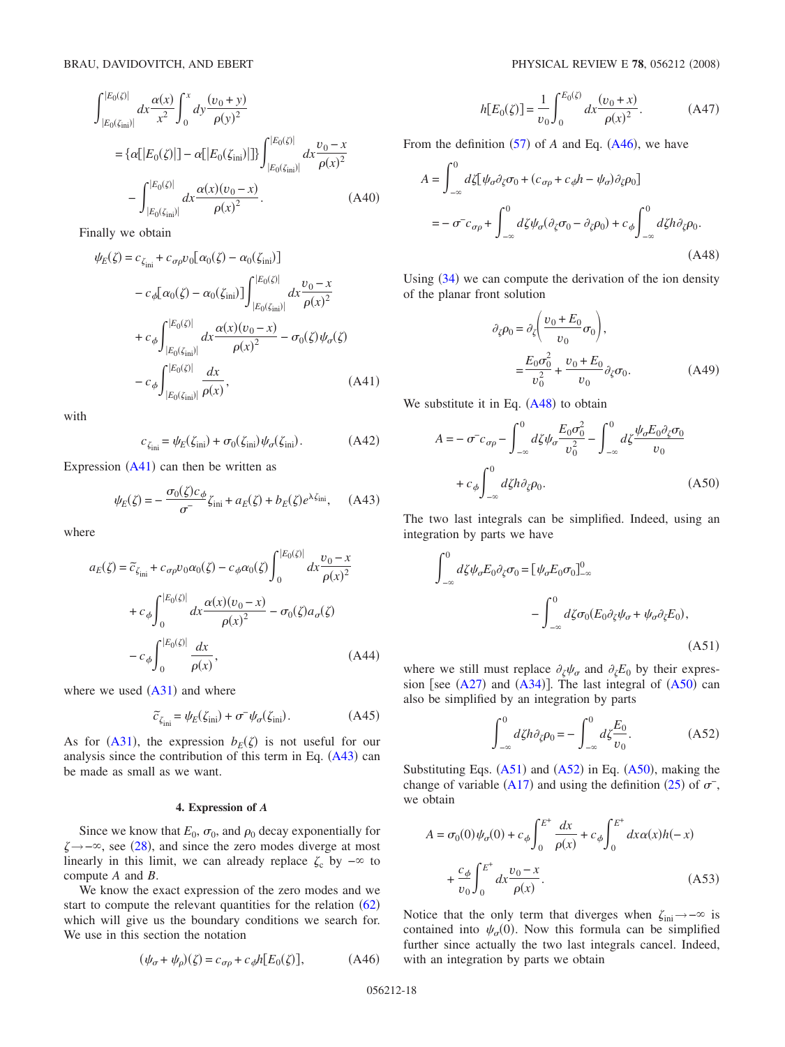$$
\int_{|E_0(\zeta_{\text{ini}})|}^{|E_0(\zeta)|} dx \frac{\alpha(x)}{x^2} \int_0^x dy \frac{(v_0 + y)}{\rho(y)^2}
$$
  
= { $\alpha$ [ $|E_0(\zeta)|$ ] –  $\alpha$ [ $|E_0(\zeta_{\text{ini}})|$ ]} $\int_{|E_0(\zeta_{\text{ini}})|}^{|E_0(\zeta)|} dx \frac{v_0 - x}{\rho(x)^2}$   
-  $\int_{|E_0(\zeta_{\text{ini}})|}^{|E_0(\zeta_{\text{ini}})|} dx \frac{\alpha(x)(v_0 - x)}{\rho(x)^2}$ . (A40)

Finally we obtain

<span id="page-17-0"></span>
$$
\psi_E(\zeta) = c_{\zeta_{\text{ini}}} + c_{\sigma\rho} v_0 [\alpha_0(\zeta) - \alpha_0(\zeta_{\text{ini}})] \n- c_{\phi} [\alpha_0(\zeta) - \alpha_0(\zeta_{\text{ini}})] \int_{|E_0(\zeta_{\text{ini}})|}^{|E_0(\zeta)|} dx \frac{v_0 - x}{\rho(x)^2} \n+ c_{\phi} \int_{|E_0(\zeta_{\text{ini}})|}^{|E_0(\zeta)|} dx \frac{\alpha(x)(v_0 - x)}{\rho(x)^2} - \sigma_0(\zeta) \psi_{\sigma}(\zeta) \n- c_{\phi} \int_{|E_0(\zeta_{\text{ini}})|}^{|E_0(\zeta)|} \frac{dx}{\rho(x)},
$$
\n(A41)

with

$$
c_{\zeta_{\rm ini}} = \psi_E(\zeta_{\rm ini}) + \sigma_0(\zeta_{\rm ini})\psi_\sigma(\zeta_{\rm ini}).\tag{A42}
$$

<span id="page-17-8"></span>Expression  $(A41)$  $(A41)$  $(A41)$  can then be written as

$$
\psi_E(\zeta) = -\frac{\sigma_0(\zeta)c_\phi}{\sigma^2}\zeta_{\rm ini} + a_E(\zeta) + b_E(\zeta)e^{\lambda\zeta_{\rm ini}}, \quad \text{(A43)}
$$

<span id="page-17-2"></span>where

<span id="page-17-1"></span>
$$
a_E(\zeta) = \tilde{c}_{\zeta_{\text{ini}}} + c_{\sigma\rho} v_0 \alpha_0(\zeta) - c_{\phi} \alpha_0(\zeta) \int_0^{|E_0(\zeta)|} dx \frac{v_0 - x}{\rho(x)^2} + c_{\phi} \int_0^{|E_0(\zeta)|} dx \frac{\alpha(x)(v_0 - x)}{\rho(x)^2} - \sigma_0(\zeta) a_{\sigma}(\zeta) - c_{\phi} \int_0^{|E_0(\zeta)|} \frac{dx}{\rho(x)},
$$
(A44)

where we used  $(A31)$  $(A31)$  $(A31)$  and where

$$
\widetilde{c}_{\zeta_{\rm ini}} = \psi_E(\zeta_{\rm ini}) + \sigma^- \psi_\sigma(\zeta_{\rm ini}).\tag{A45}
$$

<span id="page-17-9"></span>As for ([A31](#page-16-2)), the expression  $b_E(\zeta)$  is not useful for our analysis since the contribution of this term in Eq.  $(A43)$  $(A43)$  $(A43)$  can be made as small as we want.

## **4. Expression of** *A*

Since we know that  $E_0$ ,  $\sigma_0$ , and  $\rho_0$  decay exponentially for  $\zeta \rightarrow -\infty$ , see ([28](#page-3-2)), and since the zero modes diverge at most linearly in this limit, we can already replace  $\zeta_c$  by  $-\infty$  to compute *A* and *B*.

We know the exact expression of the zero modes and we start to compute the relevant quantities for the relation  $(62)$  $(62)$  $(62)$ which will give us the boundary conditions we search for. We use in this section the notation

<span id="page-17-3"></span>
$$
(\psi_{\sigma} + \psi_{\rho})(\zeta) = c_{\sigma\rho} + c_{\phi}h[E_0(\zeta)], \qquad (A46)
$$

$$
h[E_0(\zeta)] = \frac{1}{v_0} \int_0^{E_0(\zeta)} dx \frac{(v_0 + x)}{\rho(x)^2}.
$$
 (A47)

From the definition  $(57)$  $(57)$  $(57)$  of *A* and Eq.  $(A46)$  $(A46)$  $(A46)$ , we have

<span id="page-17-4"></span>
$$
A = \int_{-\infty}^{0} d\zeta \left[ \psi_{\sigma} \partial_{\zeta} \sigma_{0} + (c_{\sigma \rho} + c_{\phi} h - \psi_{\sigma}) \partial_{\zeta} \rho_{0} \right]
$$
  

$$
= -\sigma^{-} c_{\sigma \rho} + \int_{-\infty}^{0} d\zeta \psi_{\sigma} (\partial_{\zeta} \sigma_{0} - \partial_{\zeta} \rho_{0}) + c_{\phi} \int_{-\infty}^{0} d\zeta h \partial_{\zeta} \rho_{0}.
$$
(A48)

Using  $(34)$  $(34)$  $(34)$  we can compute the derivation of the ion density of the planar front solution

$$
\partial_{\zeta}\rho_0 = \partial_{\zeta} \left( \frac{v_0 + E_0}{v_0} \sigma_0 \right),
$$
  
= 
$$
\frac{E_0 \sigma_0^2}{v_0^2} + \frac{v_0 + E_0}{v_0} \partial_{\zeta}\sigma_0.
$$
 (A49)

We substitute it in Eq.  $(A48)$  $(A48)$  $(A48)$  to obtain

<span id="page-17-5"></span>
$$
A = -\sigma^{-}c_{\sigma\rho} - \int_{-\infty}^{0} d\zeta \psi_{\sigma} \frac{E_0 \sigma_0^2}{v_0^2} - \int_{-\infty}^{0} d\zeta \frac{\psi_{\sigma} E_0 \partial_{\zeta} \sigma_0}{v_0}
$$

$$
+ c_{\phi} \int_{-\infty}^{0} d\zeta h \partial_{\zeta} \rho_0.
$$
(A50)

The two last integrals can be simplified. Indeed, using an integration by parts we have

<span id="page-17-6"></span>
$$
\int_{-\infty}^{0} d\zeta \psi_{\sigma} E_0 \partial_{\zeta} \sigma_0 = [\psi_{\sigma} E_0 \sigma_0]_{-\infty}^{0}
$$

$$
- \int_{-\infty}^{0} d\zeta \sigma_0 (E_0 \partial_{\zeta} \psi_{\sigma} + \psi_{\sigma} \partial_{\zeta} E_0),
$$
(A51)

where we still must replace  $\partial_{\zeta}\psi_{\sigma}$  and  $\partial_{\zeta}E_0$  by their expression [see  $(A27)$  $(A27)$  $(A27)$  and  $(A34)$  $(A34)$  $(A34)$ ]. The last integral of  $(A50)$  $(A50)$  $(A50)$  can also be simplified by an integration by parts

$$
\int_{-\infty}^{0} d\zeta h \partial_{\zeta} \rho_0 = -\int_{-\infty}^{0} d\zeta \frac{E_0}{v_0}.
$$
 (A52)

<span id="page-17-7"></span>Substituting Eqs.  $(A51)$  $(A51)$  $(A51)$  and  $(A52)$  $(A52)$  $(A52)$  in Eq.  $(A50)$  $(A50)$  $(A50)$ , making the change of variable ([A17](#page-15-4)) and using the definition ([25](#page-3-11)) of  $\sigma$ <sup>-</sup>, we obtain

$$
A = \sigma_0(0)\psi_{\sigma}(0) + c_{\phi} \int_0^{E^+} \frac{dx}{\rho(x)} + c_{\phi} \int_0^{E^+} dx \alpha(x)h(-x) + \frac{c_{\phi}}{v_0} \int_0^{E^+} dx \frac{v_0 - x}{\rho(x)}.
$$
 (A53)

Notice that the only term that diverges when  $\zeta_{\text{ini}} \rightarrow -\infty$  is contained into  $\psi_{\sigma}(0)$ . Now this formula can be simplified further since actually the two last integrals cancel. Indeed, with an integration by parts we obtain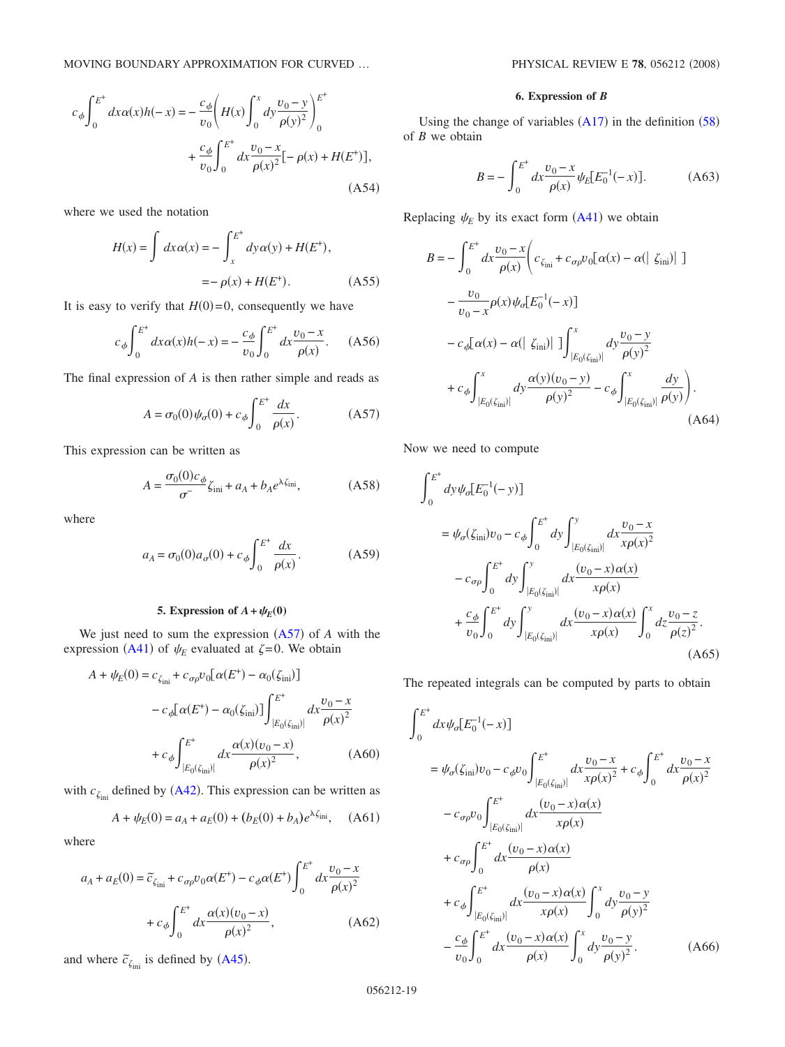MOVING BOUNDARY APPROXIMATION FOR CURVED ...

$$
c_{\phi} \int_{0}^{E^{+}} dx \alpha(x) h(-x) = -\frac{c_{\phi}}{v_{0}} \left( H(x) \int_{0}^{x} dy \frac{v_{0} - y}{\rho(y)^{2}} \right)_{0}^{E^{+}}
$$

$$
+ \frac{c_{\phi}}{v_{0}} \int_{0}^{E^{+}} dx \frac{v_{0} - x}{\rho(x)^{2}} [-\rho(x) + H(E^{+})],
$$
(A54)

where we used the notation

$$
H(x) = \int dx \alpha(x) = -\int_{x}^{E^{+}} dy \alpha(y) + H(E^{+}),
$$
  
=  $-\rho(x) + H(E^{+}).$  (A55)

It is easy to verify that  $H(0)=0$ , consequently we have

$$
c_{\phi} \int_{0}^{E^{+}} dx \alpha(x)h(-x) = -\frac{c_{\phi}}{v_{0}} \int_{0}^{E^{+}} dx \frac{v_{0} - x}{\rho(x)}.
$$
 (A56)

The final expression of *A* is then rather simple and reads as

$$
A = \sigma_0(0)\psi_{\sigma}(0) + c_{\phi}\int_0^{E^+} \frac{dx}{\rho(x)}.
$$
 (A57)

<span id="page-18-0"></span>This expression can be written as

$$
A = \frac{\sigma_0(0)c_{\phi}}{\sigma^2} \zeta_{\text{ini}} + a_A + b_A e^{\lambda \zeta_{\text{ini}}},
$$
 (A58)

<span id="page-18-1"></span>where

$$
a_A = \sigma_0(0) a_{\sigma}(0) + c_{\phi} \int_0^{E^+} \frac{dx}{\rho(x)}.
$$
 (A59)

## **5. Expression of**  $A + \psi_E(0)$

We just need to sum the expression  $(A57)$  $(A57)$  $(A57)$  of  $A$  with the expression ([A41](#page-17-0)) of  $\psi_E$  evaluated at  $\zeta = 0$ . We obtain

<span id="page-18-2"></span>
$$
A + \psi_E(0) = c_{\zeta_{\text{ini}}} + c_{\sigma \rho} v_0 [\alpha(E^+) - \alpha_0(\zeta_{\text{ini}})]
$$
  

$$
- c_{\phi} [\alpha(E^+) - \alpha_0(\zeta_{\text{ini}})] \int_{|E_0(\zeta_{\text{ini}})|}^{E^+} dx \frac{v_0 - x}{\rho(x)^2}
$$
  

$$
+ c_{\phi} \int_{|E_0(\zeta_{\text{ini}})|}^{E^+} dx \frac{\alpha(x)(v_0 - x)}{\rho(x)^2},
$$
 (A60)

with  $c_{\zeta_{\text{ini}}}$  defined by ([A42](#page-17-8)). This expression can be written as

$$
A + \psi_E(0) = a_A + a_E(0) + (b_E(0) + b_A)e^{\lambda \zeta_{\text{ini}}}, \quad (A61)
$$

where

<span id="page-18-3"></span>
$$
a_A + a_E(0) = \tilde{c}_{\zeta_{\text{ini}}} + c_{\sigma\rho} v_0 \alpha(E^+) - c_{\phi} \alpha(E^+) \int_0^{E^+} dx \frac{v_0 - x}{\rho(x)^2} + c_{\phi} \int_0^{E^+} dx \frac{\alpha(x)(v_0 - x)}{\rho(x)^2},
$$
 (A62)

and where  $\tilde{c}_{\zeta_{\text{ini}}}$  is defined by ([A45](#page-17-9)).

## **6. Expression of** *B*

Using the change of variables  $(A17)$  $(A17)$  $(A17)$  in the definition  $(58)$  $(58)$  $(58)$ of *B* we obtain

$$
B = -\int_0^{E^+} dx \frac{v_0 - x}{\rho(x)} \psi_E [E_0^{-1}(-x)].
$$
 (A63)

<span id="page-18-4"></span>Replacing  $\psi_E$  by its exact form  $(A41)$  $(A41)$  $(A41)$  we obtain

<span id="page-18-5"></span>
$$
B = -\int_0^{E^+} dx \frac{v_0 - x}{\rho(x)} \left( c_{\zeta_{\text{ini}}} + c_{\sigma \rho} v_0 [\alpha(x) - \alpha(|\zeta_{\text{ini}})|] \right)
$$
  

$$
- \frac{v_0}{v_0 - x} \rho(x) \psi_0 [E_0^{-1}(-x)]
$$
  

$$
- c_{\phi} [\alpha(x) - \alpha(|\zeta_{\text{ini}})|] \Big] \int_{|E_0(\zeta_{\text{ini}})|}^{x} dy \frac{v_0 - y}{\rho(y)^2}
$$
  

$$
+ c_{\phi} \int_{|E_0(\zeta_{\text{ini}})|}^{x} dy \frac{\alpha(y)(v_0 - y)}{\rho(y)^2} - c_{\phi} \int_{|E_0(\zeta_{\text{ini}})|}^{x} \frac{dy}{\rho(y)} \right). \tag{A64}
$$

Now we need to compute

$$
\int_{0}^{E^{+}} dy \psi_{\sigma} [E_{0}^{-1}(-y)]
$$
\n
$$
= \psi_{\sigma}(\zeta_{\text{ini}})v_{0} - c_{\phi} \int_{0}^{E^{+}} dy \int_{|E_{0}(\zeta_{\text{ini}})|}^{y} dx \frac{v_{0} - x}{x \rho(x)^{2}}
$$
\n
$$
-c_{\sigma \rho} \int_{0}^{E^{+}} dy \int_{|E_{0}(\zeta_{\text{ini}})|}^{y} dx \frac{(v_{0} - x) \alpha(x)}{x \rho(x)}
$$
\n
$$
+ \frac{c_{\phi}}{v_{0}} \int_{0}^{E^{+}} dy \int_{|E_{0}(\zeta_{\text{ini}})|}^{y} dx \frac{(v_{0} - x) \alpha(x)}{x \rho(x)} \int_{0}^{x} dz \frac{v_{0} - z}{\rho(z)^{2}}.
$$
\n(A65)

The repeated integrals can be computed by parts to obtain

$$
\int_{0}^{E^{+}} dx \psi_{\sigma} [E_{0}^{-1}(-x)]
$$
\n
$$
= \psi_{\sigma}(\zeta_{\text{ini}})v_{0} - c_{\phi}v_{0} \int_{|E_{0}(\zeta_{\text{ini}})|}^{E^{+}} dx \frac{v_{0} - x}{x\rho(x)^{2}} + c_{\phi} \int_{0}^{E^{+}} dx \frac{v_{0} - x}{\rho(x)^{2}}
$$
\n
$$
- c_{\sigma\rho}v_{0} \int_{|E_{0}(\zeta_{\text{ini}})|}^{E^{+}} dx \frac{(v_{0} - x)\alpha(x)}{x\rho(x)}
$$
\n
$$
+ c_{\sigma\rho} \int_{0}^{E^{+}} dx \frac{(v_{0} - x)\alpha(x)}{\rho(x)}
$$
\n
$$
+ c_{\phi} \int_{|E_{0}(\zeta_{\text{ini}})|}^{E^{+}} dx \frac{(v_{0} - x)\alpha(x)}{x\rho(x)} \int_{0}^{x} dy \frac{v_{0} - y}{\rho(y)^{2}}
$$
\n
$$
- \frac{c_{\phi}}{v_{0}} \int_{0}^{E^{+}} dx \frac{(v_{0} - x)\alpha(x)}{\rho(x)} \int_{0}^{x} dy \frac{v_{0} - y}{\rho(y)^{2}}.
$$
\n(A66)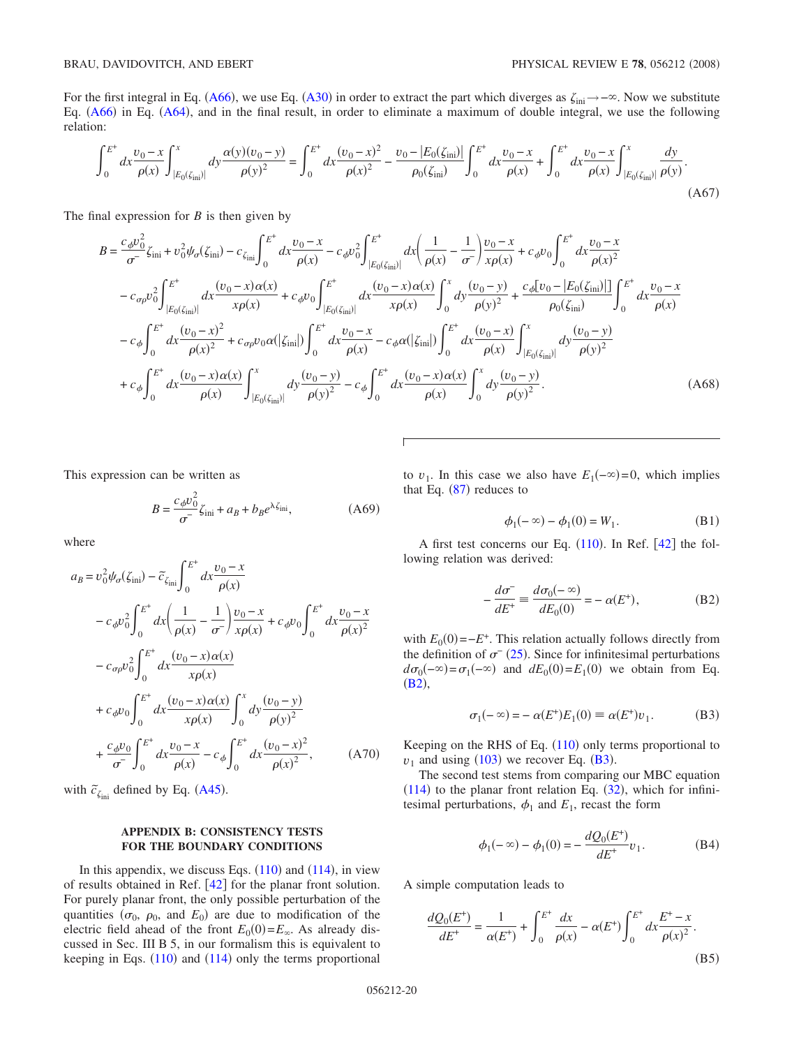For the first integral in Eq. ([A66](#page-18-4)), we use Eq. ([A30](#page-16-5)) in order to extract the part which diverges as  $\zeta_{\text{ini}} \to -\infty$ . Now we substitute Eq. ([A66](#page-18-4)) in Eq. ([A64](#page-18-5)), and in the final result, in order to eliminate a maximum of double integral, we use the following relation:

$$
\int_0^{E^+} dx \frac{v_0 - x}{\rho(x)} \int_{|E_0(\zeta_{\text{ini}})|}^x dy \frac{\alpha(y)(v_0 - y)}{\rho(y)^2} = \int_0^{E^+} dx \frac{(v_0 - x)^2}{\rho(x)^2} - \frac{v_0 - |E_0(\zeta_{\text{ini}})|}{\rho_0(\zeta_{\text{ini}})} \int_0^{E^+} dx \frac{v_0 - x}{\rho(x)} + \int_0^{E^+} dx \frac{v_0 - x}{\rho(x)} \int_{|E_0(\zeta_{\text{ini}})|}^x \frac{dy}{\rho(y)}.
$$
\n(A67)

<span id="page-19-0"></span>The final expression for *B* is then given by

$$
B = \frac{c_{\phi}v_{0}^{2}}{\sigma^{2}}\zeta_{\text{ini}} + v_{0}^{2}\psi_{\sigma}(\zeta_{\text{ini}}) - c_{\zeta_{\text{ini}}}\int_{0}^{E^{+}} dx \frac{v_{0} - x}{\rho(x)} - c_{\phi}v_{0}^{2}\int_{|E_{0}(\zeta_{\text{ini}})|}^{E^{+}} dx \left(\frac{1}{\rho(x)} - \frac{1}{\sigma^{2}}\right) \frac{v_{0} - x}{x\rho(x)} + c_{\phi}v_{0}\int_{0}^{E^{+}} dx \frac{v_{0} - x}{\rho(x)^{2}} - c_{\sigma\rho}v_{0}^{2}\int_{|E_{0}(\zeta_{\text{ini}})|}^{E^{+}} dx \frac{(v_{0} - x)\alpha(x)}{x\rho(x)} + c_{\phi}v_{0}\int_{|E_{0}(\zeta_{\text{ini}})|}^{E^{+}} dx \frac{(v_{0} - x)\alpha(x)}{x\rho(x)} \int_{0}^{x} dy \frac{(v_{0} - y)}{\rho(y)^{2}} + \frac{c_{\phi}[v_{0} - |E_{0}(\zeta_{\text{ini}})|]}{\rho_{0}(\zeta_{\text{ini}})} \int_{0}^{E^{+}} dx \frac{v_{0} - x}{\rho(x)}
$$

$$
- c_{\phi}\int_{0}^{E^{+}} dx \frac{(v_{0} - x)^{2}}{\rho(x)^{2}} + c_{\sigma\rho}v_{0}\alpha(|\zeta_{\text{ini}}|)\int_{0}^{E^{+}} dx \frac{v_{0} - x}{\rho(x)} - c_{\phi}\alpha(|\zeta_{\text{ini}}|)\int_{0}^{E^{+}} dx \frac{(v_{0} - x)}{\rho(x)} \int_{|E_{0}(\zeta_{\text{ini}})|}^{x} dy \frac{(v_{0} - y)}{\rho(y)^{2}}
$$

$$
+ c_{\phi}\int_{0}^{E^{+}} dx \frac{(v_{0} - x)\alpha(x)}{\rho(x)} \int_{|E_{0}(\zeta_{\text{ini}})|}^{x} dy \frac{(v_{0} - y)}{\rho(y)^{2}} - c_{\phi}\int_{0}^{E^{+}} dx \frac{(v_{0} - x)\alpha(x)}{\rho(x)} \int_{0}^{x} dy \frac{(v_{0} - y)}{\rho(y)^{2}}.
$$
(A68)

This expression can be written as

$$
B = \frac{c_{\phi}v_0^2}{\sigma^2}\zeta_{\text{ini}} + a_B + b_B e^{\lambda\zeta_{\text{ini}}},\tag{A69}
$$

where

<span id="page-19-1"></span>
$$
a_{B} = v_{0}^{2} \psi_{\sigma}(\zeta_{\text{ini}}) - \tilde{c}_{\zeta_{\text{ini}}} \int_{0}^{E^{+}} dx \frac{v_{0} - x}{\rho(x)}
$$
  
\n
$$
- c_{\phi} v_{0}^{2} \int_{0}^{E^{+}} dx \left( \frac{1}{\rho(x)} - \frac{1}{\sigma^{-}} \right) \frac{v_{0} - x}{x \rho(x)} + c_{\phi} v_{0} \int_{0}^{E^{+}} dx \frac{v_{0} - x}{\rho(x)^{2}}
$$
  
\n
$$
- c_{\sigma \rho} v_{0}^{2} \int_{0}^{E^{+}} dx \frac{(v_{0} - x) \alpha(x)}{x \rho(x)} + c_{\phi} v_{0} \int_{0}^{E^{+}} dx \frac{(v_{0} - x) \alpha(x)}{x \rho(x)} \int_{0}^{x} dy \frac{(v_{0} - y)}{\rho(y)^{2}}
$$
  
\n
$$
+ \frac{c_{\phi} v_{0}}{\sigma^{-}} \int_{0}^{E^{+}} dx \frac{v_{0} - x}{\rho(x)} - c_{\phi} \int_{0}^{E^{+}} dx \frac{(v_{0} - x)^{2}}{\rho(x)^{2}}, \qquad (A70)
$$

with  $\tilde{c}_{\zeta_{\text{ini}}}$  defined by Eq. ([A45](#page-17-9)).

# **APPENDIX B: CONSISTENCY TESTS FOR THE BOUNDARY CONDITIONS**

In this appendix, we discuss Eqs.  $(110)$  $(110)$  $(110)$  and  $(114)$  $(114)$  $(114)$ , in view of results obtained in Ref.  $[42]$  $[42]$  $[42]$  for the planar front solution. For purely planar front, the only possible perturbation of the quantities  $(\sigma_0, \rho_0, \text{ and } E_0)$  are due to modification of the electric field ahead of the front  $E_0(0) = E_\infty$ . As already discussed in Sec. III B 5, in our formalism this is equivalent to keeping in Eqs.  $(110)$  $(110)$  $(110)$  and  $(114)$  $(114)$  $(114)$  only the terms proportional

to  $v_1$ . In this case we also have  $E_1(-\infty)=0$ , which implies that Eq.  $(87)$  $(87)$  $(87)$  reduces to

$$
\phi_1(-\infty) - \phi_1(0) = W_1.
$$
 (B1)

<span id="page-19-4"></span>A first test concerns our Eq.  $(110)$  $(110)$  $(110)$ . In Ref.  $[42]$  $[42]$  $[42]$  the following relation was derived:

$$
-\frac{d\sigma^{-}}{dE^{+}} \equiv \frac{d\sigma_{0}(-\infty)}{dE_{0}(0)} = -\alpha(E^{+}),
$$
 (B2)

<span id="page-19-2"></span>with  $E_0(0) = -E^+$ . This relation actually follows directly from the definition of  $\sigma$ <sup>-</sup> ([25](#page-3-11)). Since for infinitesimal perturbations  $d\sigma_0(-\infty) = \sigma_1(-\infty)$  and  $dE_0(0) = E_1(0)$  we obtain from Eq.  $(B2),$  $(B2),$  $(B2),$ 

$$
\sigma_1(-\infty) = -\alpha(E^+)E_1(0) \equiv \alpha(E^+)v_1.
$$
 (B3)

<span id="page-19-3"></span>Keeping on the RHS of Eq. ([110](#page-10-1)) only terms proportional to  $v_1$  and using ([103](#page-9-6)) we recover Eq. ([B3](#page-19-3)).

The second test stems from comparing our MBC equation  $(114)$  $(114)$  $(114)$  to the planar front relation Eq.  $(32)$  $(32)$  $(32)$ , which for infinitesimal perturbations,  $\phi_1$  and  $E_1$ , recast the form

$$
\phi_1(-\infty) - \phi_1(0) = -\frac{dQ_0(E^+)}{dE^+}v_1.
$$
 (B4)

<span id="page-19-5"></span>A simple computation leads to

$$
\frac{dQ_0(E^+)}{dE^+} = \frac{1}{\alpha(E^+)} + \int_0^{E^+} \frac{dx}{\rho(x)} - \alpha(E^+) \int_0^{E^+} dx \frac{E^+ - x}{\rho(x)^2}.
$$
\n(B5)